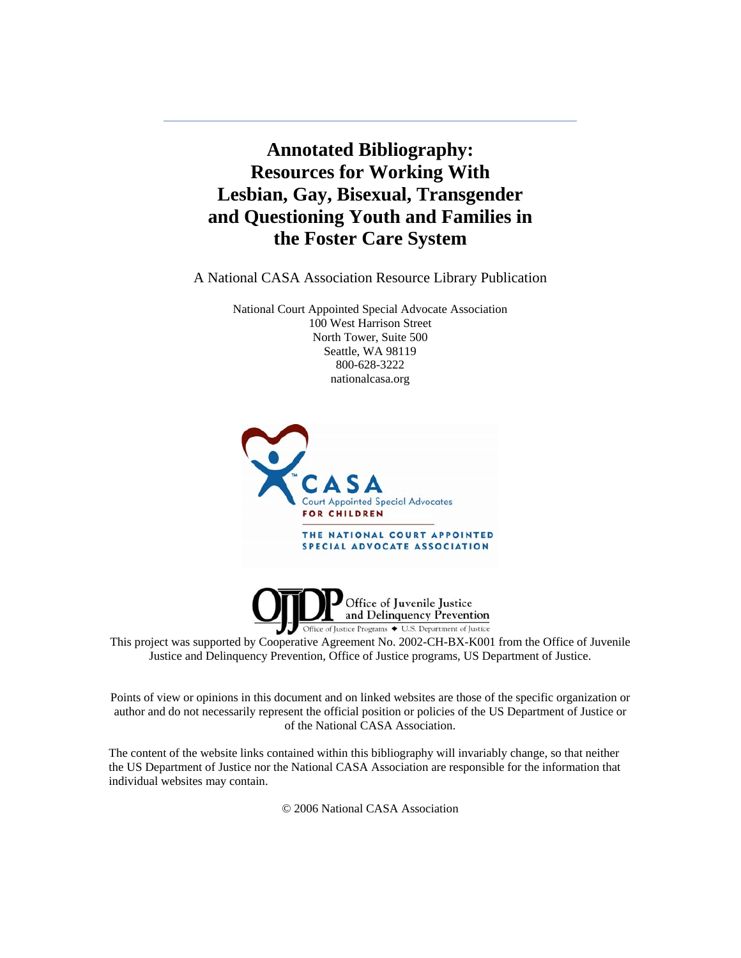**Annotated Bibliography: Resources for Working With Lesbian, Gay, Bisexual, Transgender and Questioning Youth and Families in the Foster Care System**

A National CASA Association Resource Library Publication

National Court Appointed Special Advocate Association 100 West Harrison Street North Tower, Suite 500 Seattle, WA 98119 800-628-3222 nationalcasa.org





This project was supported by Cooperative Agreement No. 2002-CH-BX-K001 from the Office of Juvenile Justice and Delinquency Prevention, Office of Justice programs, US Department of Justice.

Points of view or opinions in this document and on linked websites are those of the specific organization or author and do not necessarily represent the official position or policies of the US Department of Justice or of the National CASA Association.

The content of the website links contained within this bibliography will invariably change, so that neither the US Department of Justice nor the National CASA Association are responsible for the information that individual websites may contain.

© 2006 National CASA Association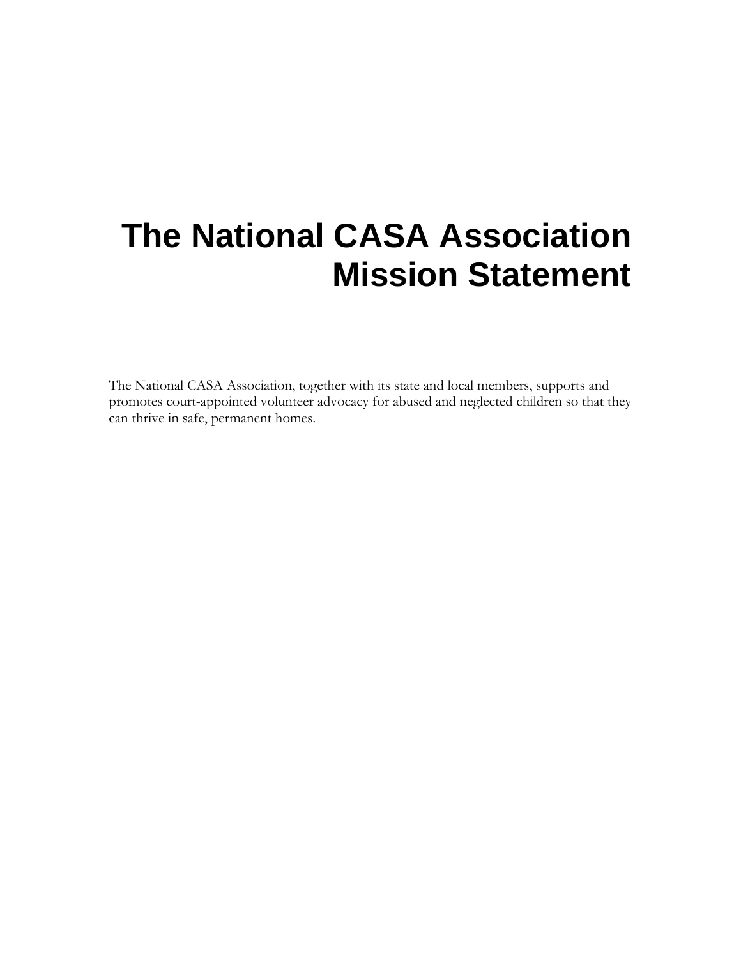## <span id="page-1-0"></span>**The National CASA Association Mission Statement**

The National CASA Association, together with its state and local members, supports and promotes court-appointed volunteer advocacy for abused and neglected children so that they can thrive in safe, permanent homes.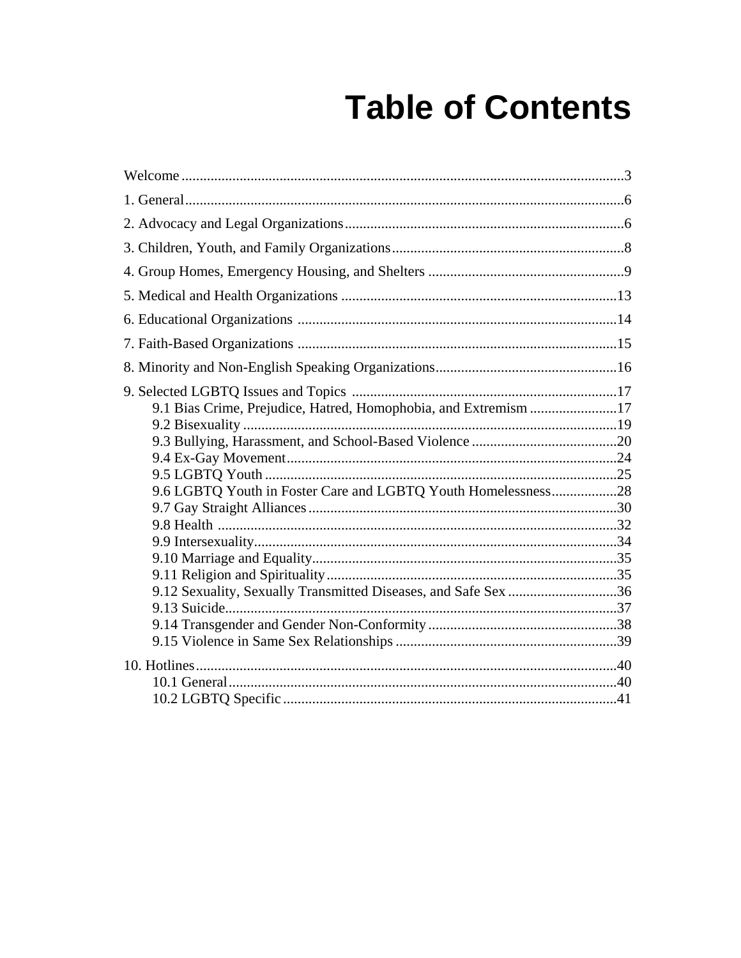# **Table of Contents**

| 9.1 Bias Crime, Prejudice, Hatred, Homophobia, and Extremism 17 |  |
|-----------------------------------------------------------------|--|
|                                                                 |  |
|                                                                 |  |
|                                                                 |  |
|                                                                 |  |
| 9.6 LGBTQ Youth in Foster Care and LGBTQ Youth Homelessness28   |  |
|                                                                 |  |
|                                                                 |  |
|                                                                 |  |
|                                                                 |  |
|                                                                 |  |
| 9.12 Sexuality, Sexually Transmitted Diseases, and Safe Sex 36  |  |
|                                                                 |  |
|                                                                 |  |
|                                                                 |  |
|                                                                 |  |
|                                                                 |  |
|                                                                 |  |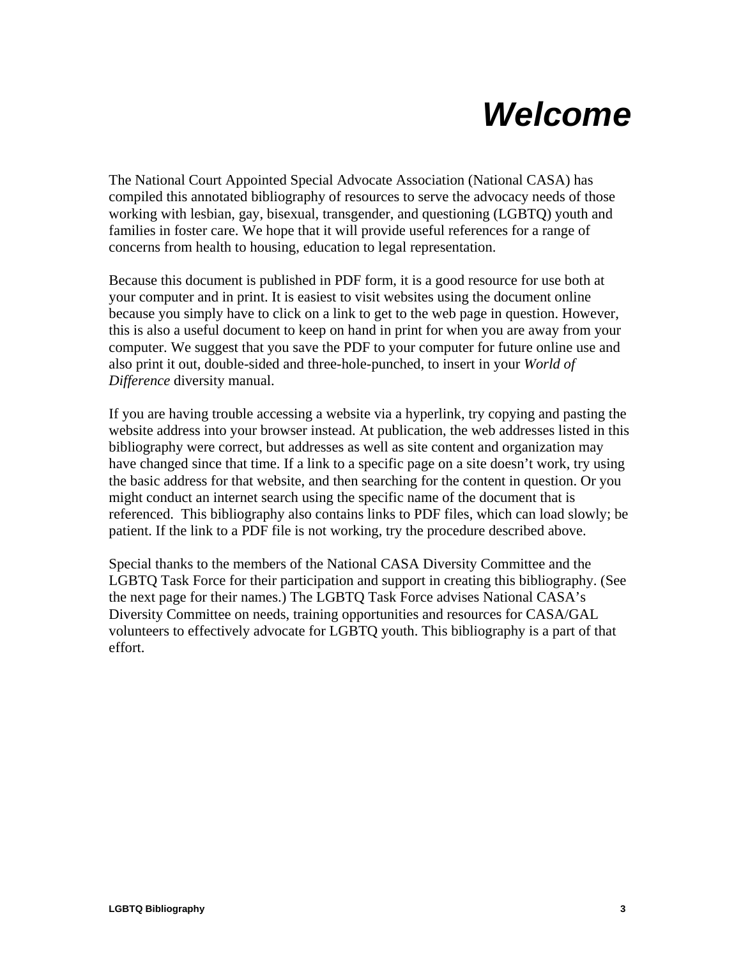## *Welcome*

<span id="page-4-0"></span>The National Court Appointed Special Advocate Association (National CASA) has compiled this annotated bibliography of resources to serve the advocacy needs of those working with lesbian, gay, bisexual, transgender, and questioning (LGBTQ) youth and families in foster care. We hope that it will provide useful references for a range of concerns from health to housing, education to legal representation.

Because this document is published in PDF form, it is a good resource for use both at your computer and in print. It is easiest to visit websites using the document online because you simply have to click on a link to get to the web page in question. However, this is also a useful document to keep on hand in print for when you are away from your computer. We suggest that you save the PDF to your computer for future online use and also print it out, double-sided and three-hole-punched, to insert in your *World of Difference* diversity manual.

If you are having trouble accessing a website via a hyperlink, try copying and pasting the website address into your browser instead. At publication, the web addresses listed in this bibliography were correct, but addresses as well as site content and organization may have changed since that time. If a link to a specific page on a site doesn't work, try using the basic address for that website, and then searching for the content in question. Or you might conduct an internet search using the specific name of the document that is referenced. This bibliography also contains links to PDF files, which can load slowly; be patient. If the link to a PDF file is not working, try the procedure described above.

Special thanks to the members of the National CASA Diversity Committee and the LGBTQ Task Force for their participation and support in creating this bibliography. (See the next page for their names.) The LGBTQ Task Force advises National CASA's Diversity Committee on needs, training opportunities and resources for CASA/GAL volunteers to effectively advocate for LGBTQ youth. This bibliography is a part of that effort.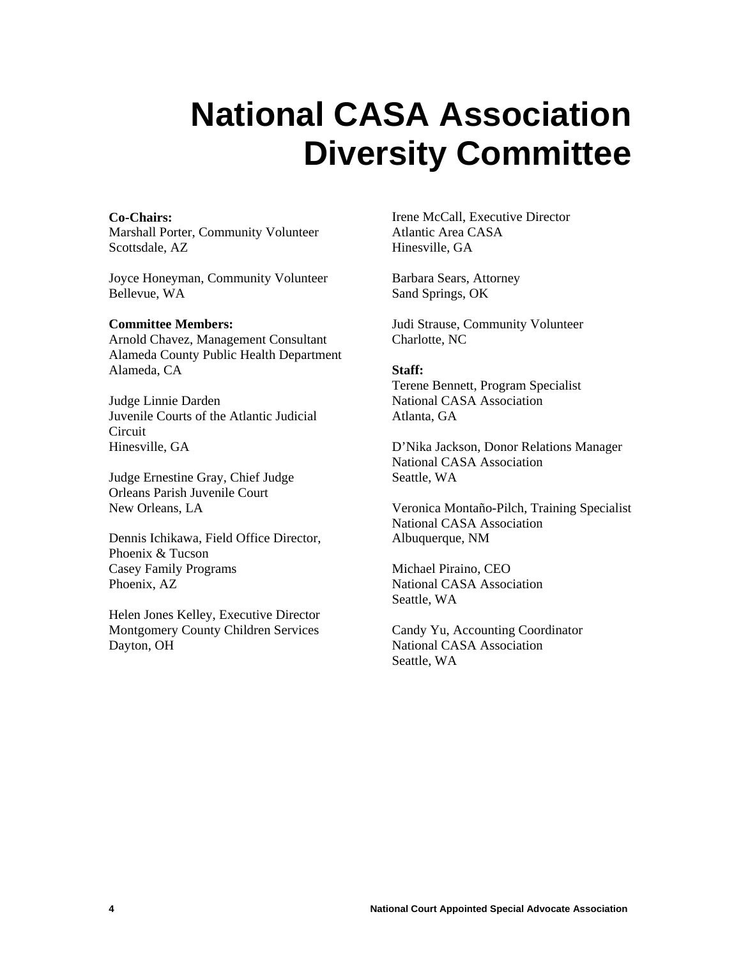## **National CASA Association Diversity Committee**

#### **Co-Chairs:**

Marshall Porter, Community Volunteer Scottsdale, AZ

Joyce Honeyman, Community Volunteer Bellevue, WA

#### **Committee Members:**

Arnold Chavez, Management Consultant Alameda County Public Health Department Alameda, CA

Judge Linnie Darden Juvenile Courts of the Atlantic Judicial Circuit Hinesville, GA

Judge Ernestine Gray, Chief Judge Orleans Parish Juvenile Court New Orleans, LA

Dennis Ichikawa, Field Office Director, Phoenix & Tucson Casey Family Programs Phoenix, AZ

Helen Jones Kelley, Executive Director Montgomery County Children Services Dayton, OH

Irene McCall, Executive Director Atlantic Area CASA Hinesville, GA

Barbara Sears, Attorney Sand Springs, OK

Judi Strause, Community Volunteer Charlotte, NC

#### **Staff:**

Terene Bennett, Program Specialist National CASA Association Atlanta, GA

D'Nika Jackson, Donor Relations Manager National CASA Association Seattle, WA

Veronica Montaño-Pilch, Training Specialist National CASA Association Albuquerque, NM

Michael Piraino, CEO National CASA Association Seattle, WA

Candy Yu, Accounting Coordinator National CASA Association Seattle, WA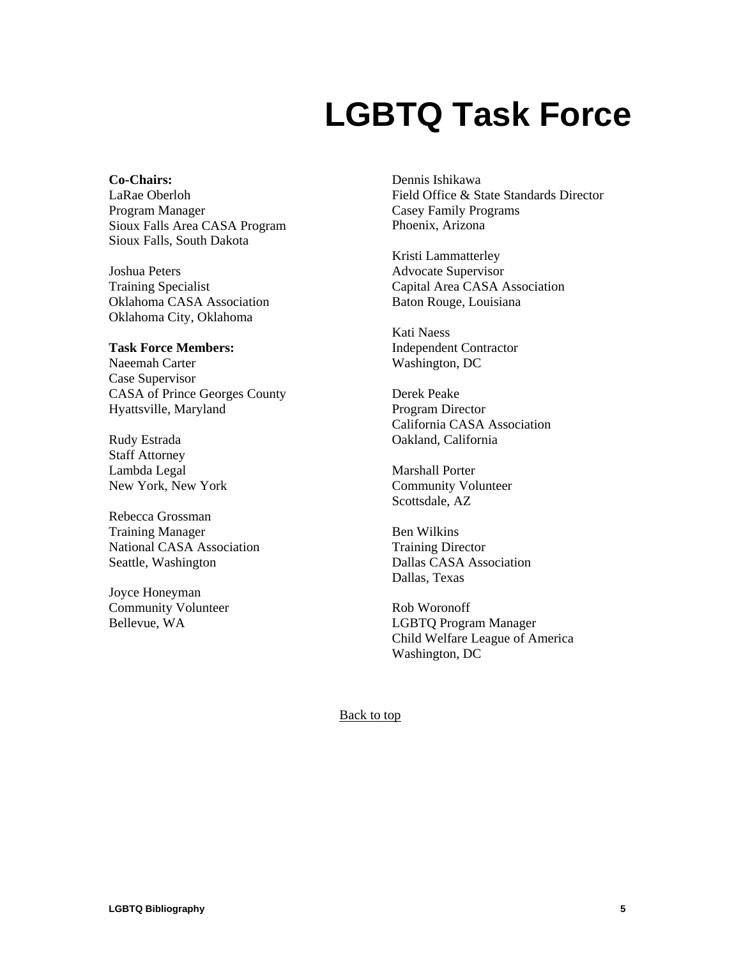## **LGBTQ Task Force**

**Co-Chairs:**  LaRae Oberloh Program Manager Sioux Falls Area CASA Program Sioux Falls, South Dakota

Joshua Peters Training Specialist Oklahoma CASA Association Oklahoma City, Oklahoma

#### **Task Force Members:**

Naeemah Carter Case Supervisor CASA of Prince Georges County Hyattsville, Maryland

Rudy Estrada Staff Attorney Lambda Legal New York, New York

Rebecca Grossman Training Manager National CASA Association Seattle, Washington

Joyce Honeyman Community Volunteer Bellevue, WA

Dennis Ishikawa Field Office & State Standards Director Casey Family Programs Phoenix, Arizona

Kristi Lammatterley Advocate Supervisor Capital Area CASA Association Baton Rouge, Louisiana

Kati Naess Independent Contractor Washington, DC

Derek Peake Program Director California CASA Association Oakland, California

Marshall Porter Community Volunteer Scottsdale, AZ

Ben Wilkins Training Director Dallas CASA Association Dallas, Texas

Rob Woronoff LGBTQ Program Manager Child Welfare League of America Washington, DC

[Back to top](#page-1-0)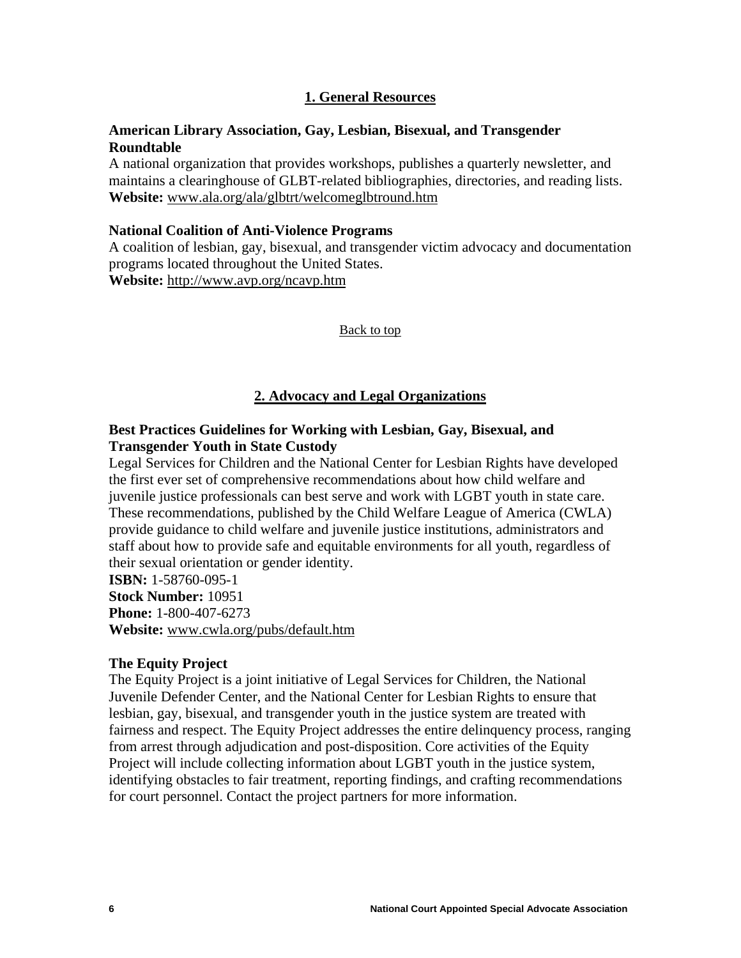## **1. General Resources**

## <span id="page-7-0"></span>**American Library Association, Gay, Lesbian, Bisexual, and Transgender Roundtable**

A national organization that provides workshops, publishes a quarterly newsletter, and maintains a clearinghouse of GLBT-related bibliographies, directories, and reading lists. **Website:** [www.ala.org/ala/glbtrt/welcomeglbtround.htm](http://www.ala.org/ala/glbtrt/welcomeglbtround.htm)

#### **National Coalition of Anti-Violence Programs**

A coalition of lesbian, gay, bisexual, and transgender victim advocacy and documentation programs located throughout the United States. **Website:** <http://www.avp.org/ncavp.htm>

#### [Back to top](#page-1-0)

#### **2. Advocacy and Legal Organizations**

## **Best Practices Guidelines for Working with Lesbian, Gay, Bisexual, and Transgender Youth in State Custody**

Legal Services for Children and the National Center for Lesbian Rights have developed the first ever set of comprehensive recommendations about how child welfare and juvenile justice professionals can best serve and work with LGBT youth in state care. These recommendations, published by the Child Welfare League of America (CWLA) provide guidance to child welfare and juvenile justice institutions, administrators and staff about how to provide safe and equitable environments for all youth, regardless of their sexual orientation or gender identity.

**ISBN:** 1-58760-095-1 **Stock Number:** 10951 **Phone:** 1-800-407-6273 **Website:** [www.cwla.org/pubs/default.htm](http://www.cwla.org/pubs/default.htm)

#### **The Equity Project**

The Equity Project is a joint initiative of Legal Services for Children, the National Juvenile Defender Center, and the National Center for Lesbian Rights to ensure that lesbian, gay, bisexual, and transgender youth in the justice system are treated with fairness and respect. The Equity Project addresses the entire delinquency process, ranging from arrest through adjudication and post-disposition. Core activities of the Equity Project will include collecting information about LGBT youth in the justice system, identifying obstacles to fair treatment, reporting findings, and crafting recommendations for court personnel. Contact the project partners for more information.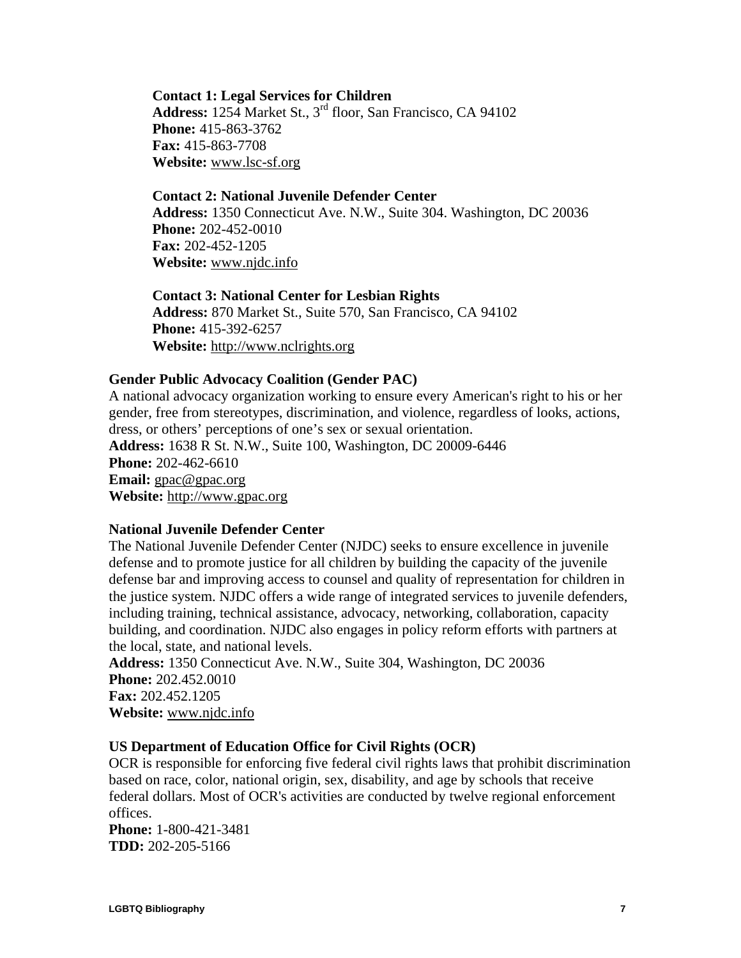**Contact 1: Legal Services for Children** Address: 1254 Market St., 3<sup>rd</sup> floor, San Francisco, CA 94102 **Phone:** 415-863-3762 **Fax:** 415-863-7708 **Website:** [www.lsc-sf.org](http://www.lsc-sf.org/)

#### **Contact 2: National Juvenile Defender Center**

**Address:** 1350 Connecticut Ave. N.W., Suite 304. Washington, DC 20036 **Phone:** 202-452-0010 **Fax:** 202-452-1205 **Website:** [www.njdc.info](http://www.njdc.info/)

**Contact 3: National Center for Lesbian Rights Address:** 870 Market St., Suite 570, San Francisco, CA 94102 **Phone:** 415-392-6257 **Website:** [http://www.nclrights.org](http://www.nclrights.org/)

#### **Gender Public Advocacy Coalition (Gender PAC)**

A national advocacy organization working to ensure every American's right to his or her gender, free from stereotypes, discrimination, and violence, regardless of looks, actions, dress, or others' perceptions of one's sex or sexual orientation. **Address:** 1638 R St. N.W., Suite 100, Washington, DC 20009-6446 **Phone:** 202-462-6610 **Email:** [gpac@gpac.org](mailto:gpac@gpac.org) **Website:** [http://www.gpac.org](http://www.gpac.org/)

#### **National Juvenile Defender Center**

The National Juvenile Defender Center (NJDC) seeks to ensure excellence in juvenile defense and to promote justice for all children by building the capacity of the juvenile defense bar and improving access to counsel and quality of representation for children in the justice system. NJDC offers a wide range of integrated services to juvenile defenders, including training, technical assistance, advocacy, networking, collaboration, capacity building, and coordination. NJDC also engages in policy reform efforts with partners at the local, state, and national levels.

**Address:** 1350 Connecticut Ave. N.W., Suite 304, Washington, DC 20036 **Phone:** 202.452.0010 **Fax:** 202.452.1205 **Website:** [www.njdc.info](http://www.njdc.info/)

## **US Department of Education Office for Civil Rights (OCR)**

OCR is responsible for enforcing five federal civil rights laws that prohibit discrimination based on race, color, national origin, sex, disability, and age by schools that receive federal dollars. Most of OCR's activities are conducted by twelve regional enforcement offices.

**Phone:** 1-800-421-3481 **TDD:** 202-205-5166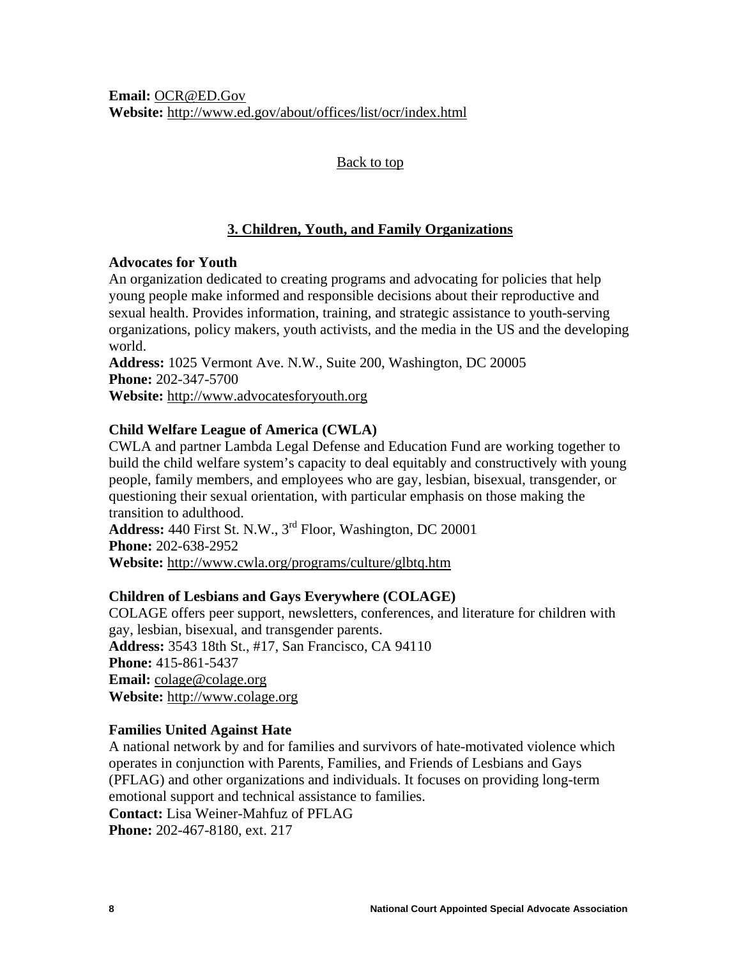<span id="page-9-0"></span>**Email:** [OCR@ED.Gov](mailto:OCR@ED.Gov) **Website:** <http://www.ed.gov/about/offices/list/ocr/index.html>

## [Back to top](#page-1-0)

## **3. Children, Youth, and Family Organizations**

## **Advocates for Youth**

An organization dedicated to creating programs and advocating for policies that help young people make informed and responsible decisions about their reproductive and sexual health. Provides information, training, and strategic assistance to youth-serving organizations, policy makers, youth activists, and the media in the US and the developing world.

**Address:** 1025 Vermont Ave. N.W., Suite 200, Washington, DC 20005 **Phone:** 202-347-5700 **Website:** [http://www.advocatesforyouth.org](http://www.advocatesforyouth.org/)

## **Child Welfare League of America (CWLA)**

CWLA and partner Lambda Legal Defense and Education Fund are working together to build the child welfare system's capacity to deal equitably and constructively with young people, family members, and employees who are gay, lesbian, bisexual, transgender, or questioning their sexual orientation, with particular emphasis on those making the transition to adulthood.

**Address:** 440 First St. N.W., 3rd Floor, Washington, DC 20001 **Phone:** 202-638-2952 **Website:** <http://www.cwla.org/programs/culture/glbtq.htm>

## **Children of Lesbians and Gays Everywhere (COLAGE)**

COLAGE offers peer support, newsletters, conferences, and literature for children with gay, lesbian, bisexual, and transgender parents. **Address:** 3543 18th St., #17, San Francisco, CA 94110 **Phone:** 415-861-5437 **Email:** [colage@colage.org](mailto:colage@colage.org) **Website:** [http://www.colage.org](http://www.colage.org/)

## **Families United Against Hate**

A national network by and for families and survivors of hate-motivated violence which operates in conjunction with Parents, Families, and Friends of Lesbians and Gays (PFLAG) and other organizations and individuals. It focuses on providing long-term emotional support and technical assistance to families. **Contact:** Lisa Weiner-Mahfuz of PFLAG

**Phone:** 202-467-8180, ext. 217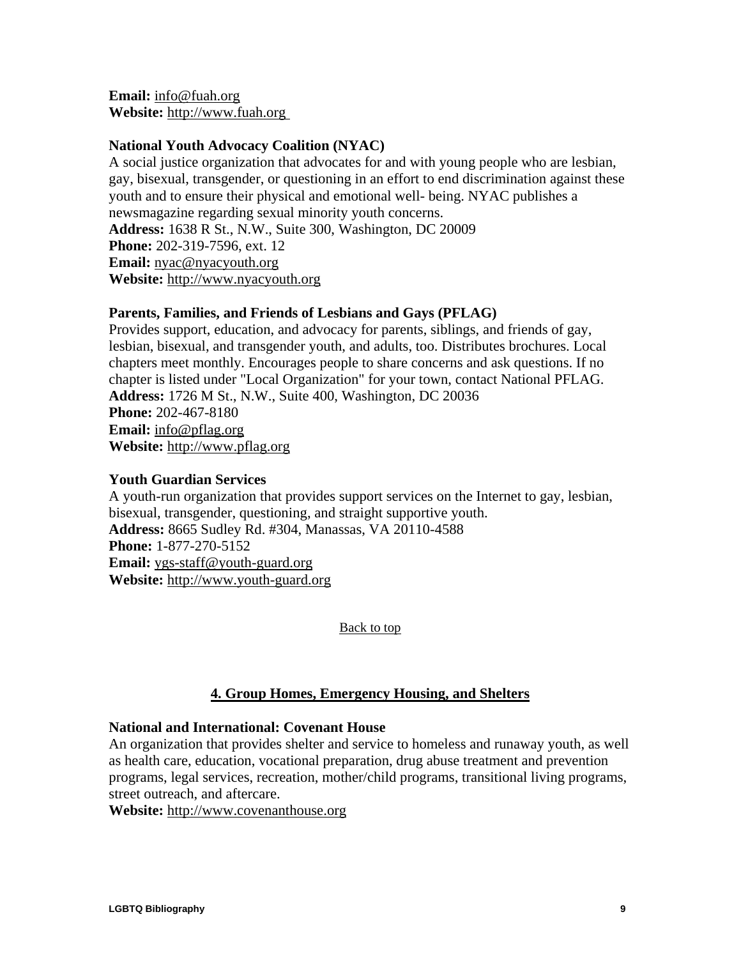<span id="page-10-0"></span>**Email:** [info@fuah.org](mailto:info@fuah.org) **Website:** [http://www.fuah.org](http://www.fuah.org/)

## **National Youth Advocacy Coalition (NYAC)**

A social justice organization that advocates for and with young people who are lesbian, gay, bisexual, transgender, or questioning in an effort to end discrimination against these youth and to ensure their physical and emotional well- being. NYAC publishes a newsmagazine regarding sexual minority youth concerns. **Address:** 1638 R St., N.W., Suite 300, Washington, DC 20009 **Phone:** 202-319-7596, ext. 12 **Email:** [nyac@nyacyouth.org](mailto:nyac@nyacyouth.org) **Website:** [http://www.nyacyouth.org](http://www.nyacyouth.org/) 

## **Parents, Families, and Friends of Lesbians and Gays (PFLAG)**

Provides support, education, and advocacy for parents, siblings, and friends of gay, lesbian, bisexual, and transgender youth, and adults, too. Distributes brochures. Local chapters meet monthly. Encourages people to share concerns and ask questions. If no chapter is listed under "Local Organization" for your town, contact National PFLAG. **Address:** 1726 M St., N.W., Suite 400, Washington, DC 20036 **Phone:** 202-467-8180 **Email:** [info@pflag.org](mailto:info@pflag.org) **Website:** [http://www.pflag.org](http://www.pflag.org/)

#### **Youth Guardian Services**

A youth-run organization that provides support services on the Internet to gay, lesbian, bisexual, transgender, questioning, and straight supportive youth. **Address:** 8665 Sudley Rd. #304, Manassas, VA 20110-4588 **Phone:** 1-877-270-5152 **Email:** [ygs-staff@youth-guard.org](mailto:ygs-staff@youth-guard.org) **Website:** [http://www.youth-guard.org](http://www.youth-guard.org/)

[Back to top](#page-1-0)

## **4. Group Homes, Emergency Housing, and Shelters**

#### **National and International: Covenant House**

An organization that provides shelter and service to homeless and runaway youth, as well as health care, education, vocational preparation, drug abuse treatment and prevention programs, legal services, recreation, mother/child programs, transitional living programs, street outreach, and aftercare.

**Website:** [http://www.covenanthouse.org](http://www.covenanthouse.org/)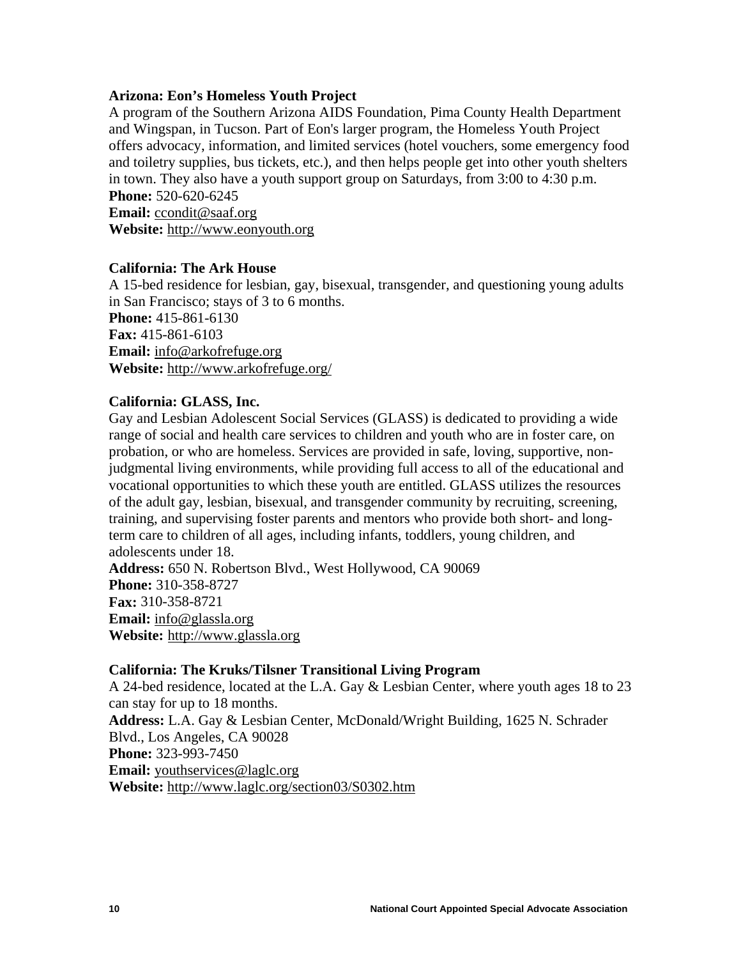#### **Arizona: Eon's Homeless Youth Project**

A program of the Southern Arizona AIDS Foundation, Pima County Health Department and Wingspan, in Tucson. Part of Eon's larger program, the Homeless Youth Project offers advocacy, information, and limited services (hotel vouchers, some emergency food and toiletry supplies, bus tickets, etc.), and then helps people get into other youth shelters in town. They also have a youth support group on Saturdays, from 3:00 to 4:30 p.m. **Phone:** 520-620-6245

**Email:** [ccondit@saaf.org](mailto:ccondit@saaf.org) **Website:** [http://www.eonyouth.org](http://www.eonyouth.org/)

#### **California: The Ark House**

A 15-bed residence for lesbian, gay, bisexual, transgender, and questioning young adults in San Francisco; stays of 3 to 6 months. **Phone:** 415-861-6130 **Fax:** 415-861-6103 **Email:** [info@arkofrefuge.org](mailto:info@arkofrefuge.org) **Website:** <http://www.arkofrefuge.org/>

#### **California: GLASS, Inc.**

Gay and Lesbian Adolescent Social Services (GLASS) is dedicated to providing a wide range of social and health care services to children and youth who are in foster care, on probation, or who are homeless. Services are provided in safe, loving, supportive, nonjudgmental living environments, while providing full access to all of the educational and vocational opportunities to which these youth are entitled. GLASS utilizes the resources of the adult gay, lesbian, bisexual, and transgender community by recruiting, screening, training, and supervising foster parents and mentors who provide both short- and longterm care to children of all ages, including infants, toddlers, young children, and adolescents under 18. **Address:** 650 N. Robertson Blvd., West Hollywood, CA 90069 **Phone:** 310-358-8727 **Fax:** 310-358-8721 **Email:** [info@glassla.org](mailto:info@glassla.org)

**Website:** [http://www.glassla.org](http://www.glassla.org/)

#### **California: The Kruks/Tilsner Transitional Living Program**

A 24-bed residence, located at the L.A. Gay & Lesbian Center, where youth ages 18 to 23 can stay for up to 18 months. **Address:** L.A. Gay & Lesbian Center, McDonald/Wright Building, 1625 N. Schrader Blvd., Los Angeles, CA 90028 **Phone:** 323-993-7450 **Email:** [youthservices@laglc.org](mailto:youthservices@laglc.org) **Website:** <http://www.laglc.org/section03/S0302.htm>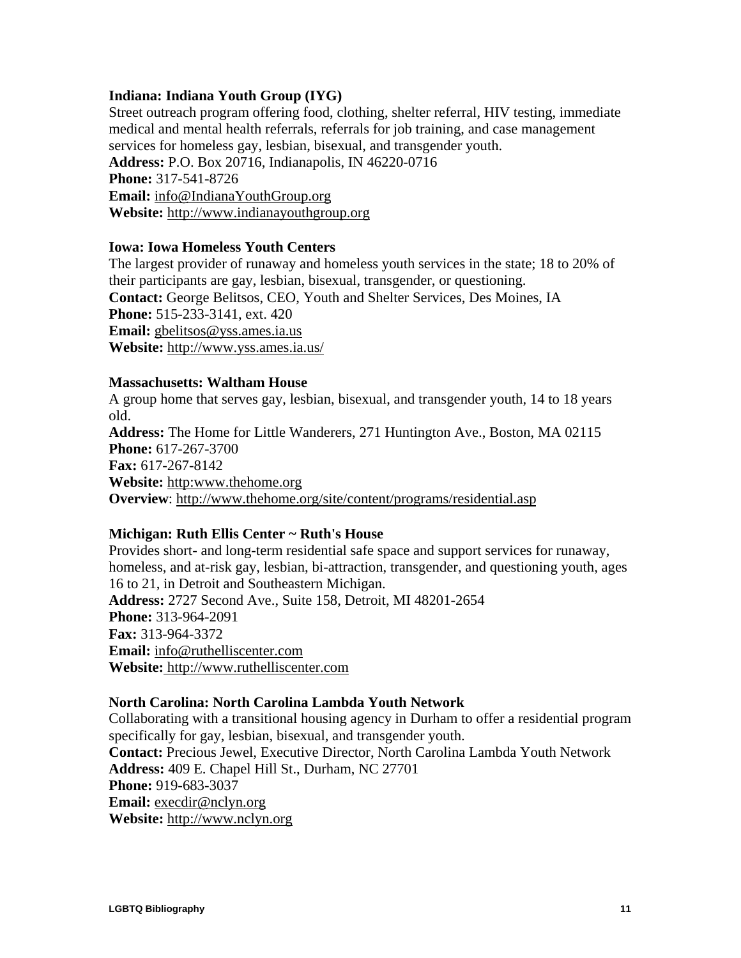## **Indiana: Indiana Youth Group (IYG)**

Street outreach program offering food, clothing, shelter referral, HIV testing, immediate medical and mental health referrals, referrals for job training, and case management services for homeless gay, lesbian, bisexual, and transgender youth. **Address:** P.O. Box 20716, Indianapolis, IN 46220-0716 **Phone:** 317-541-8726 **Email:** [info@IndianaYouthGroup.org](mailto:info@IndianaYouthGroup.org) **Website:** [http://www.indianayouthgroup.org](http://www.indianayouthgroup.org/)

#### **Iowa: Iowa Homeless Youth Centers**

The largest provider of runaway and homeless youth services in the state; 18 to 20% of their participants are gay, lesbian, bisexual, transgender, or questioning. **Contact:** George Belitsos, CEO, Youth and Shelter Services, Des Moines, IA **Phone:** 515-233-3141, ext. 420 **Email:** [gbelitsos@yss.ames.ia.us](mailto:gbelitsos@yss.ames.ia.us) **Website:** <http://www.yss.ames.ia.us/>

#### **Massachusetts: Waltham House**

A group home that serves gay, lesbian, bisexual, and transgender youth, 14 to 18 years old.

**Address:** The Home for Little Wanderers, 271 Huntington Ave., Boston, MA 02115 **Phone:** 617-267-3700 **Fax:** 617-267-8142 **Website:** [http:www.thehome.org](http://www.thehome.org/) **Overview**: <http://www.thehome.org/site/content/programs/residential.asp>

## **Michigan: Ruth Ellis Center ~ Ruth's House**

Provides short- and long-term residential safe space and support services for runaway, homeless, and at-risk gay, lesbian, bi-attraction, transgender, and questioning youth, ages 16 to 21, in Detroit and Southeastern Michigan. **Address:** 2727 Second Ave., Suite 158, Detroit, MI 48201-2654 **Phone:** 313-964-2091 **Fax:** 313-964-3372 **Email:** [info@ruthelliscenter.com](mailto:info@ruthelliscenter.com) **Website:** [http://www.ruthelliscenter.com](http://www.ruthelliscenter.com/)

## **North Carolina: North Carolina Lambda Youth Network**

Collaborating with a transitional housing agency in Durham to offer a residential program specifically for gay, lesbian, bisexual, and transgender youth. **Contact:** Precious Jewel, Executive Director, North Carolina Lambda Youth Network **Address:** 409 E. Chapel Hill St., Durham, NC 27701 **Phone:** 919-683-3037 **Email:** [execdir@nclyn.org](mailto:execdir@nclyn.org) **Website:** [http://www.nclyn.org](http://www.nclyn.org/)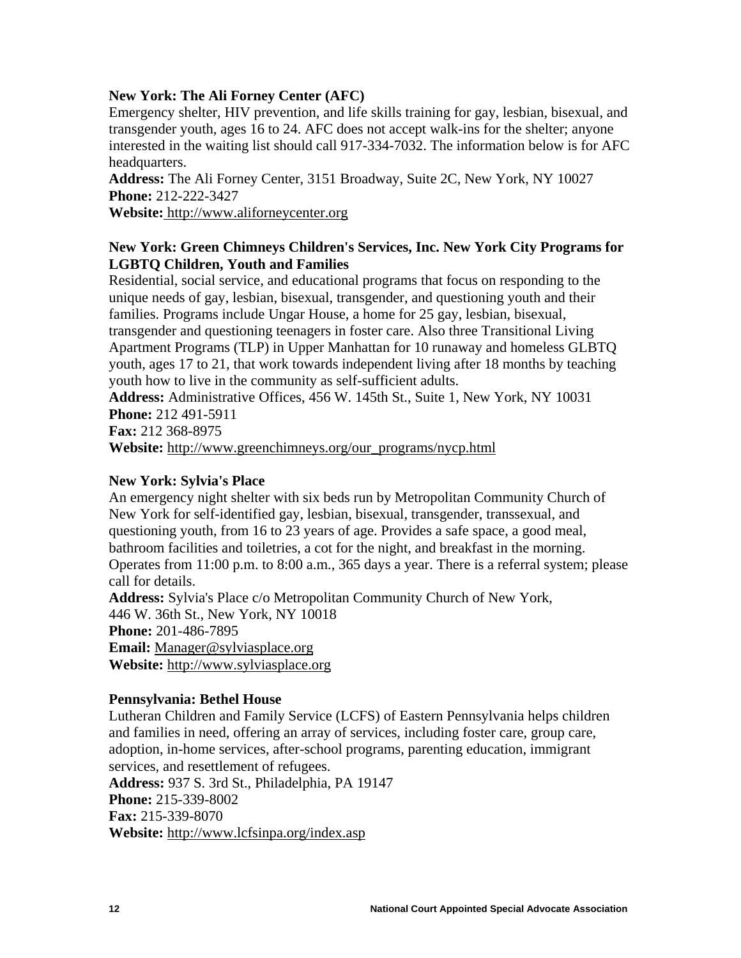## **New York: The Ali Forney Center (AFC)**

Emergency shelter, HIV prevention, and life skills training for gay, lesbian, bisexual, and transgender youth, ages 16 to 24. AFC does not accept walk-ins for the shelter; anyone interested in the waiting list should call 917-334-7032. The information below is for AFC headquarters.

**Address:** The Ali Forney Center, 3151 Broadway, Suite 2C, New York, NY 10027 **Phone:** 212-222-3427

**Website:** [http://www.aliforneycenter.org](http://www.aliforneycenter.org/)

## **New York: Green Chimneys Children's Services, Inc. New York City Programs for LGBTQ Children, Youth and Families**

Residential, social service, and educational programs that focus on responding to the unique needs of gay, lesbian, bisexual, transgender, and questioning youth and their families. Programs include Ungar House, a home for 25 gay, lesbian, bisexual, transgender and questioning teenagers in foster care. Also three Transitional Living Apartment Programs (TLP) in Upper Manhattan for 10 runaway and homeless GLBTQ youth, ages 17 to 21, that work towards independent living after 18 months by teaching youth how to live in the community as self-sufficient adults.

**Address:** Administrative Offices, 456 W. 145th St., Suite 1, New York, NY 10031 **Phone:** 212 491-5911

**Fax:** 212 368-8975

**Website:** [http://www.greenchimneys.org/our\\_programs/nycp.html](http://www.greenchimneys.org/our_programs/nycp.html)

## **New York: Sylvia's Place**

An emergency night shelter with six beds run by [Metropolitan Community Church of](http://www.mccny.org/Ministries/shelter.htm)  [New York](http://www.mccny.org/Ministries/shelter.htm) for self-identified gay, lesbian, bisexual, transgender, transsexual, and questioning youth, from 16 to 23 years of age. Provides a safe space, a good meal, bathroom facilities and toiletries, a cot for the night, and breakfast in the morning. Operates from 11:00 p.m. to 8:00 a.m., 365 days a year. There is a referral system; please call for details.

**Address:** Sylvia's Place c/o Metropolitan Community Church of New York, 446 W. 36th St., New York, NY 10018 **Phone:** 201-486-7895 **Email:** [Manager@sylviasplace.org](mailto:Manager@sylviasplace.org) **Website:** [http://www.sylviasplace.org](http://www.sylviasplace.org/)

## **Pennsylvania: Bethel House**

Lutheran Children and Family Service (LCFS) of Eastern Pennsylvania helps children and families in need, offering an array of services, including foster care, group care, adoption, in-home services, after-school programs, parenting education, immigrant services, and resettlement of refugees.

**Address:** 937 S. 3rd St., Philadelphia, PA 19147 **Phone:** 215-339-8002 **Fax:** 215-339-8070 **Website:** <http://www.lcfsinpa.org/index.asp>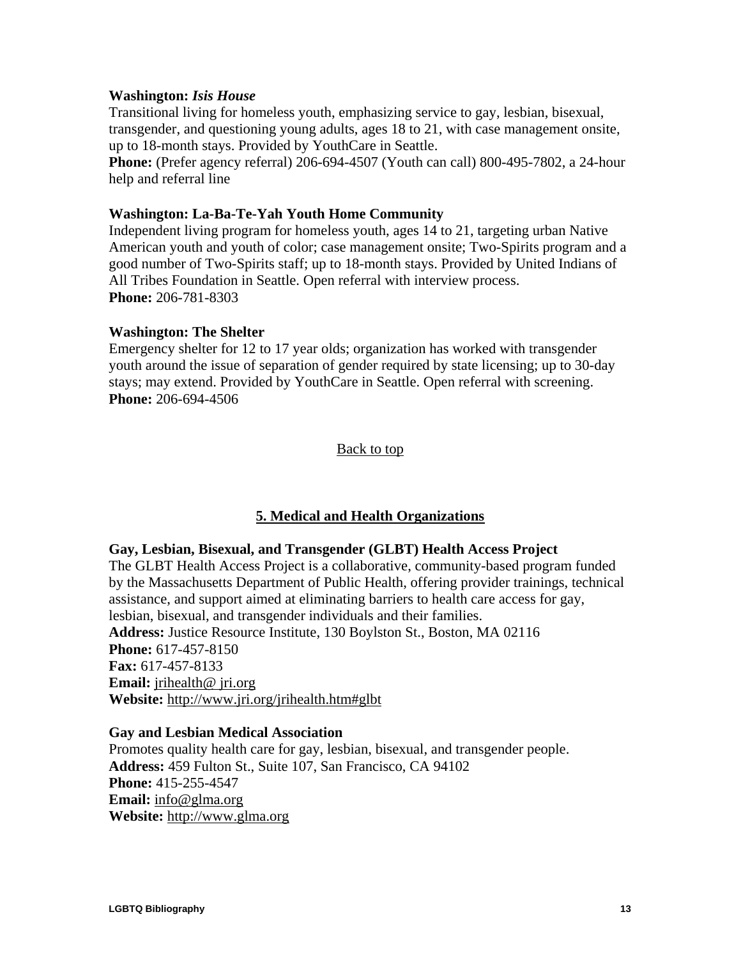#### <span id="page-14-0"></span>**Washington:** *Isis House*

Transitional living for homeless youth, emphasizing service to gay, lesbian, bisexual, transgender, and questioning young adults, ages 18 to 21, with case management onsite, up to 18-month stays. Provided by YouthCare in Seattle.

**Phone:** (Prefer agency referral) 206-694-4507 (Youth can call) 800-495-7802, a 24-hour help and referral line

#### **Washington: La-Ba-Te-Yah Youth Home Community**

Independent living program for homeless youth, ages 14 to 21, targeting urban Native American youth and youth of color; case management onsite; Two-Spirits program and a good number of Two-Spirits staff; up to 18-month stays. Provided by United Indians of All Tribes Foundation in Seattle. Open referral with interview process. **Phone:** 206-781-8303

#### **Washington: The Shelter**

Emergency shelter for 12 to 17 year olds; organization has worked with transgender youth around the issue of separation of gender required by state licensing; up to 30-day stays; may extend. Provided by YouthCare in Seattle. Open referral with screening. **Phone:** 206-694-4506

#### [Back to top](#page-1-0)

## **5. Medical and Health Organizations**

#### **Gay, Lesbian, Bisexual, and Transgender (GLBT) Health Access Project**

The GLBT Health Access Project is a collaborative, community-based program funded by the Massachusetts Department of Public Health, offering provider trainings, technical assistance, and support aimed at eliminating barriers to health care access for gay, lesbian, bisexual, and transgender individuals and their families. **Address:** Justice Resource Institute, 130 Boylston St., Boston, MA 02116 **Phone:** 617-457-8150 **Fax:** 617-457-8133 **Email:** [jrihealth@ jri.org](mailto:jrihealth@jri.org) **Website:** <http://www.jri.org/jrihealth.htm#glbt>

#### **Gay and Lesbian Medical Association**

Promotes quality health care for gay, lesbian, bisexual, and transgender people. **Address:** 459 Fulton St., Suite 107, San Francisco, CA 94102 **Phone:** 415-255-4547 **Email:** [info@glma.org](mailto:info@glma.org) **Website:** [http://www.glma.org](http://www.glma.org/)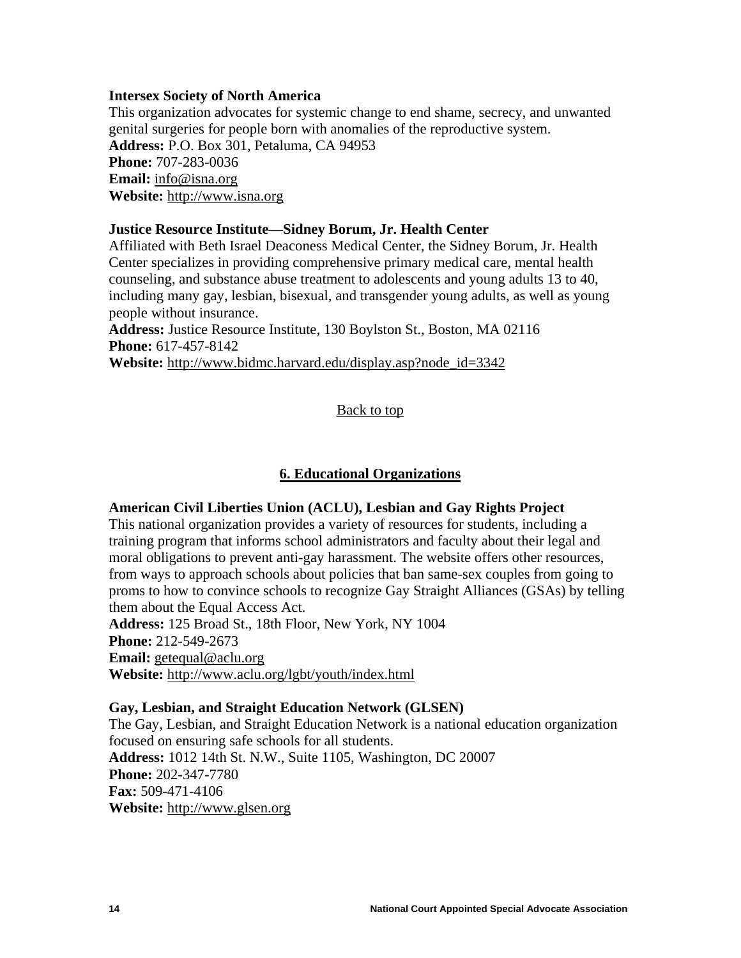#### <span id="page-15-0"></span>**Intersex Society of North America**

This organization advocates for systemic change to end shame, secrecy, and unwanted genital surgeries for people born with anomalies of the reproductive system. **Address:** P.O. Box 301, Petaluma, CA 94953 **Phone:** 707-283-0036 **Email:** [info@isna.org](mailto:info@isna.org) **Website:** [http://www.isna.org](http://www.isna.org/)

#### **Justice Resource Institute—Sidney Borum, Jr. Health Center**

Affiliated with Beth Israel Deaconess Medical Center, the Sidney Borum, Jr. Health Center specializes in providing comprehensive primary medical care, mental health counseling, and substance abuse treatment to adolescents and young adults 13 to 40, including many gay, lesbian, bisexual, and transgender young adults, as well as young people without insurance.

**Address:** Justice Resource Institute, 130 Boylston St., Boston, MA 02116 **Phone:** 617-457-8142

**Website:** [http://www.bidmc.harvard.edu/display.asp?node\\_id=3342](http://www.bidmc.harvard.edu/display.asp?node_id=3342)

#### [Back to top](#page-1-0)

#### **6. Educational Organizations**

#### **American Civil Liberties Union (ACLU), Lesbian and Gay Rights Project**

This national organization provides a variety of resources for students, including a training program that informs school administrators and faculty about their legal and moral obligations to prevent anti-gay harassment. The website offers other resources, from ways to approach schools about policies that ban same-sex couples from going to proms to how to convince schools to recognize Gay Straight Alliances (GSAs) by telling them about the Equal Access Act.

**Address:** 125 Broad St., 18th Floor, New York, NY 1004 **Phone:** 212-549-2673

**Email:** [getequal@aclu.org](mailto:getequal@aclu.org)

**Website:** <http://www.aclu.org/lgbt/youth/index.html>

#### **Gay, Lesbian, and Straight Education Network (GLSEN)**

The Gay, Lesbian, and Straight Education Network is a national education organization focused on ensuring safe schools for all students. **Address:** 1012 14th St. N.W., Suite 1105, Washington, DC 20007 **Phone:** 202-347-7780 **Fax:** 509-471-4106 **Website:** [http://www.glsen.org](http://www.glsen.org/)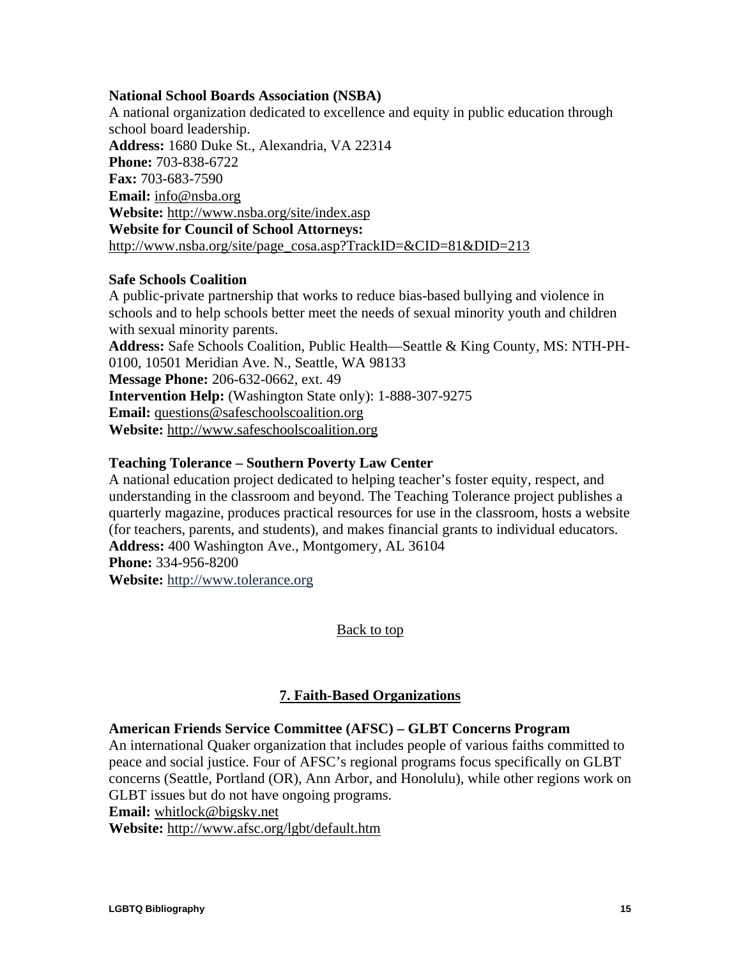#### <span id="page-16-0"></span>**National School Boards Association (NSBA)**

A national organization dedicated to excellence and equity in public education through school board leadership. **Address:** 1680 Duke St., Alexandria, VA 22314 **Phone:** 703-838-6722 **Fax:** 703-683-7590 **Email:** [info@nsba.org](mailto:info@nsba.org) **Website:** <http://www.nsba.org/site/index.asp> **Website for Council of School Attorneys:**  [http://www.nsba.org/site/page\\_cosa.asp?TrackID=&CID=81&DID=213](http://www.nsba.org/site/page_cosa.asp?TrackID=&CID=81&DID=213)

#### **Safe Schools Coalition**

A public-private partnership that works to reduce bias-based bullying and violence in schools and to help schools better meet the needs of sexual minority youth and children with sexual minority parents.

**Address:** Safe Schools Coalition, Public Health—Seattle & King County, MS: NTH-PH-0100, 10501 Meridian Ave. N., Seattle, WA 98133 **Message Phone:** 206-632-0662, ext. 49

**Intervention Help:** (Washington State only): 1-888-307-9275 **Email:** [questions@safeschoolscoalition.org](mailto:questions@safeschoolscoalition.org)

**Website:** [http://www.safeschoolscoalition.org](http://www.safeschoolscoalition.org/)

## **Teaching Tolerance – Southern Poverty Law Center**

A national education project dedicated to helping teacher's foster equity, respect, and understanding in the classroom and beyond. The Teaching Tolerance project publishes a quarterly magazine, produces practical resources for use in the classroom, hosts a website (for teachers, parents, and students), and makes financial grants to individual educators. **Address:** 400 Washington Ave., Montgomery, AL 36104 **Phone:** 334-956-8200 **Website:** [http://www.tolerance.org](http://www.tolerance.org/)

[Back to top](#page-1-0)

## **7. Faith-Based Organizations**

## **American Friends Service Committee (AFSC) – GLBT Concerns Program**

An international Quaker organization that includes people of various faiths committed to peace and social justice. Four of AFSC's regional programs focus specifically on GLBT concerns (Seattle, Portland (OR), Ann Arbor, and Honolulu), while other regions work on GLBT issues but do not have ongoing programs.

**Email:** [whitlock@bigsky.net](mailto:whitlock@bigsky.net)

**Website:** http:/[/www.afsc.org/lgbt/default.htm](http://www.afsc.org/lgbt/default.htm)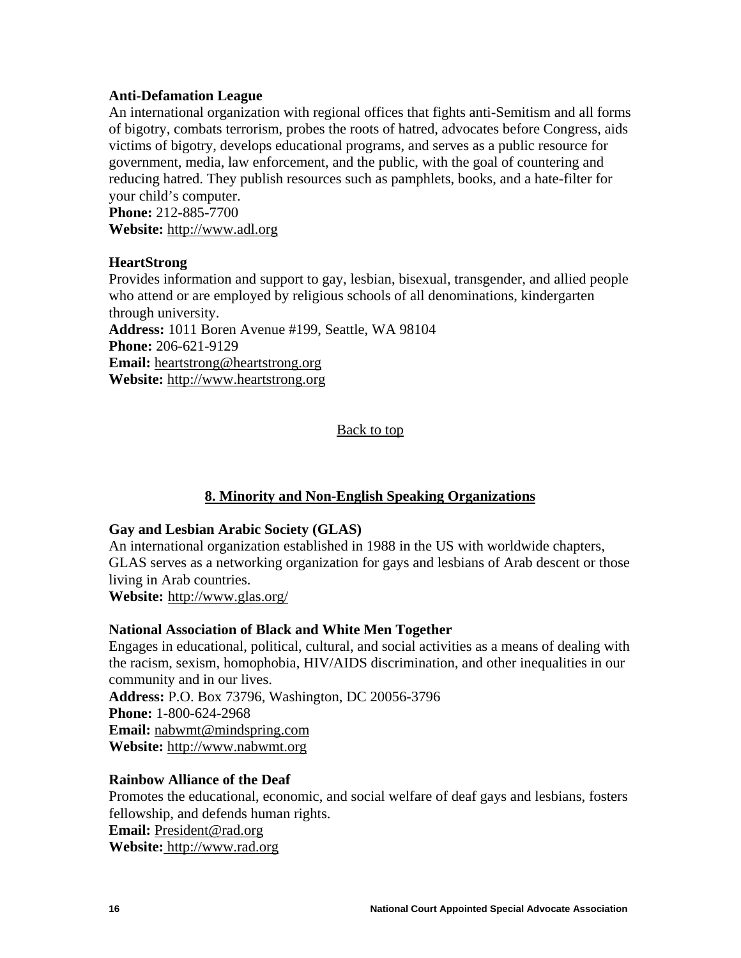## <span id="page-17-0"></span>**Anti-Defamation League**

An international organization with regional offices that fights anti-Semitism and all forms of bigotry, combats terrorism, probes the roots of hatred, advocates before Congress, aids victims of bigotry, develops educational programs, and serves as a public resource for government, media, law enforcement, and the public, with the goal of countering and reducing hatred. They publish resources such as pamphlets, books, and a hate-filter for your child's computer.

**Phone:** 212-885-7700 **Website:** [http://www.adl.org](http://www.adl.org/)

## **HeartStrong**

Provides information and support to gay, lesbian, bisexual, transgender, and allied people who attend or are employed by religious schools of all denominations, kindergarten through university. **Address:** 1011 Boren Avenue #199, Seattle, WA 98104 **Phone:** 206-621-9129 **Email:** [heartstrong@heartstrong.org](mailto:heartstrong@heartstrong.org) **Website:** [http://www.heartstrong.org](http://www.heartstrong.org/)

## [Back to top](#page-1-0)

## **8. Minority and Non-English Speaking Organizations**

## **Gay and Lesbian Arabic Society (GLAS)**

An international organization established in 1988 in the US with worldwide chapters, GLAS serves as a networking organization for gays and lesbians of Arab descent or those living in Arab countries.

**Website:** <http://www.glas.org/>

## **National Association of Black and White Men Together**

Engages in educational, political, cultural, and social activities as a means of dealing with the racism, sexism, homophobia, HIV/AIDS discrimination, and other inequalities in our community and in our lives.

**Address:** P.O. Box 73796, Washington, DC 20056-3796 **Phone:** 1-800-624-2968 **Email:** [nabwmt@mindspring.com](mailto:nabwmt@mindspring.com) **Website:** [http://www.nabwmt.org](http://www.nabwmt.org/)

## **Rainbow Alliance of the Deaf**

Promotes the educational, economic, and social welfare of deaf gays and lesbians, fosters fellowship, and defends human rights. **Email:** [President@rad.org](mailto:president@rad.org) **Website:** [http://www.rad.org](http://www.rad.org/)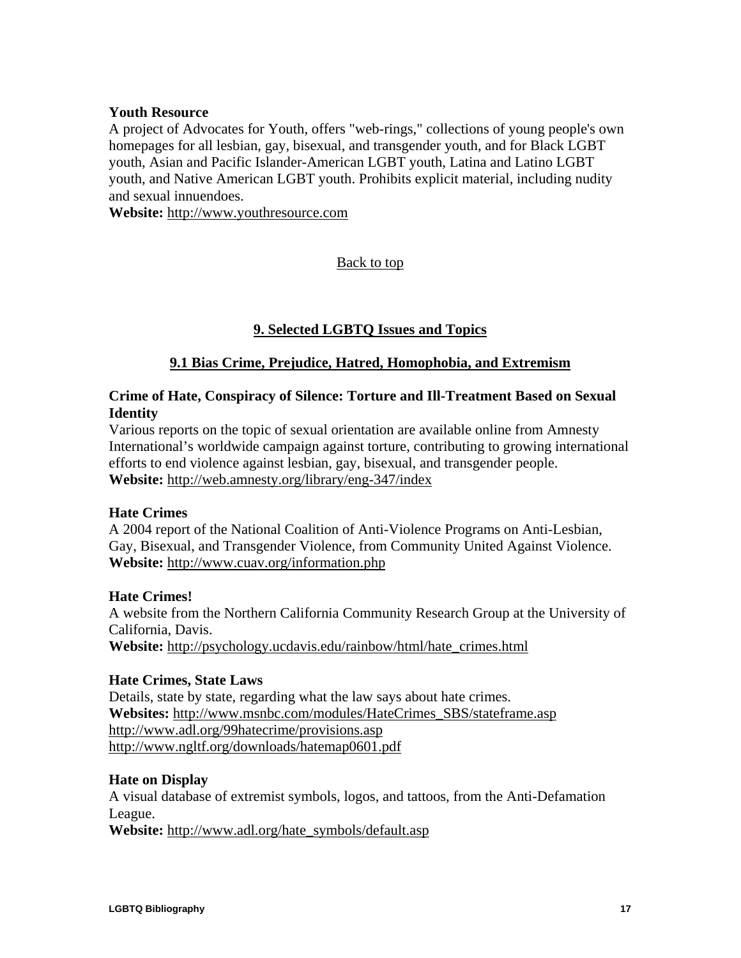## <span id="page-18-0"></span>**Youth Resource**

A project of Advocates for Youth, offers "web-rings," collections of young people's own homepages for all lesbian, gay, bisexual, and transgender youth, and for Black LGBT youth, Asian and Pacific Islander-American LGBT youth, Latina and Latino LGBT youth, and Native American LGBT youth. Prohibits explicit material, including nudity and sexual innuendoes.

**Website:** [http://www.youthresource.com](http://www.youthresource.com/)

[Back to top](#page-1-0)

## **9. Selected LGBTQ Issues and Topics**

## **9.1 Bias Crime, Prejudice, Hatred, Homophobia, and Extremism**

## **Crime of Hate, Conspiracy of Silence: Torture and Ill-Treatment Based on Sexual Identity**

Various reports on the topic of sexual orientation are available online from Amnesty International's worldwide campaign against torture, contributing to growing international efforts to end violence against lesbian, gay, bisexual, and transgender people. **Website:** <http://web.amnesty.org/library/eng-347/index>

## **Hate Crimes**

A 2004 report of the National Coalition of Anti-Violence Programs on Anti-Lesbian, Gay, Bisexual, and Transgender Violence, from Community United Against Violence. **Website:** <http://www.cuav.org/information.php>

## **Hate Crimes!**

A website from the Northern California Community Research Group at the University of California, Davis.

**Website:** [http://psychology.ucdavis.edu/rainbow/html/hate\\_crimes.html](http://psychology.ucdavis.edu/rainbow/html/hate_crimes.html)

## **Hate Crimes, State Laws**

Details, state by state, regarding what the law says about hate crimes. **Websites:** [http://www.msnbc.com/modules/HateCrimes\\_SBS/stateframe.asp](http://www.msnbc.com/modules/HateCrimes_SBS/stateframe.asp) <http://www.adl.org/99hatecrime/provisions.asp> <http://www.ngltf.org/downloads/hatemap0601.pdf>

## **Hate on Display**

A visual database of extremist symbols, logos, and tattoos, from the Anti-Defamation League.

**Website:** [http://www.adl.org/hate\\_symbols/default.asp](http://www.adl.org/hate_symbols/default.asp)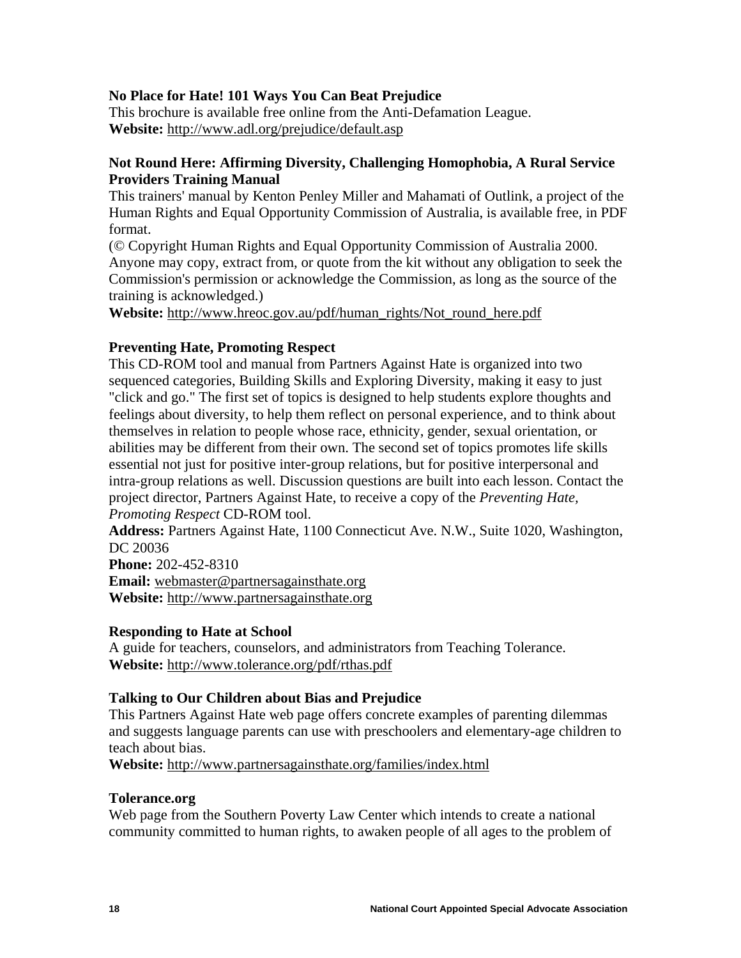## **No Place for Hate! 101 Ways You Can Beat Prejudice**

This brochure is available free online from the Anti-Defamation League. **Website:** <http://www.adl.org/prejudice/default.asp>

## **Not Round Here: Affirming Diversity, Challenging Homophobia, A Rural Service Providers Training Manual**

This trainers' manual by Kenton Penley Miller and Mahamati of Outlink, a project of the Human Rights and Equal Opportunity Commission of Australia, is available free, in PDF format.

(© Copyright Human Rights and Equal Opportunity Commission of Australia 2000. Anyone may copy, extract from, or quote from the kit without any obligation to seek the Commission's permission or acknowledge the Commission, as long as the source of the training is acknowledged.)

**Website:** [http://www.hreoc.gov.au/pdf/human\\_rights/Not\\_round\\_here.pdf](http://www.hreoc.gov.au/pdf/human_rights/Not_round_here.pdf)

## **Preventing Hate, Promoting Respect**

This CD-ROM tool and manual from Partners Against Hate is organized into two sequenced categories, Building Skills and Exploring Diversity, making it easy to just "click and go." The first set of topics is designed to help students explore thoughts and feelings about diversity, to help them reflect on personal experience, and to think about themselves in relation to people whose race, ethnicity, gender, sexual orientation, or abilities may be different from their own. The second set of topics promotes life skills essential not just for positive inter-group relations, but for positive interpersonal and intra-group relations as well. Discussion questions are built into each lesson. Contact the project director, Partners Against Hate, to receive a copy of the *Preventing Hate, Promoting Respect* CD-ROM tool.

**Address:** Partners Against Hate, 1100 Connecticut Ave. N.W., Suite 1020, Washington, DC 20036

**Phone:** 202-452-8310 **Email:** [webmaster@partnersagainsthate.org](mailto:webmaster@partnersagainsthate.org) **Website:** http:/[/www.partnersagainsthate.org](http://www.partnersagainsthate.org/)

## **Responding to Hate at School**

A guide for teachers, counselors, and administrators from Teaching Tolerance. **Website:** <http://www.tolerance.org/pdf/rthas.pdf>

## **Talking to Our Children about Bias and Prejudice**

This Partners Against Hate web page offers concrete examples of parenting dilemmas and suggests language parents can use with preschoolers and elementary-age children to teach about bias.

**Website:** <http://www.partnersagainsthate.org/families/index.html>

## **Tolerance.org**

Web page from the Southern Poverty Law Center which intends to create a national community committed to human rights, to awaken people of all ages to the problem of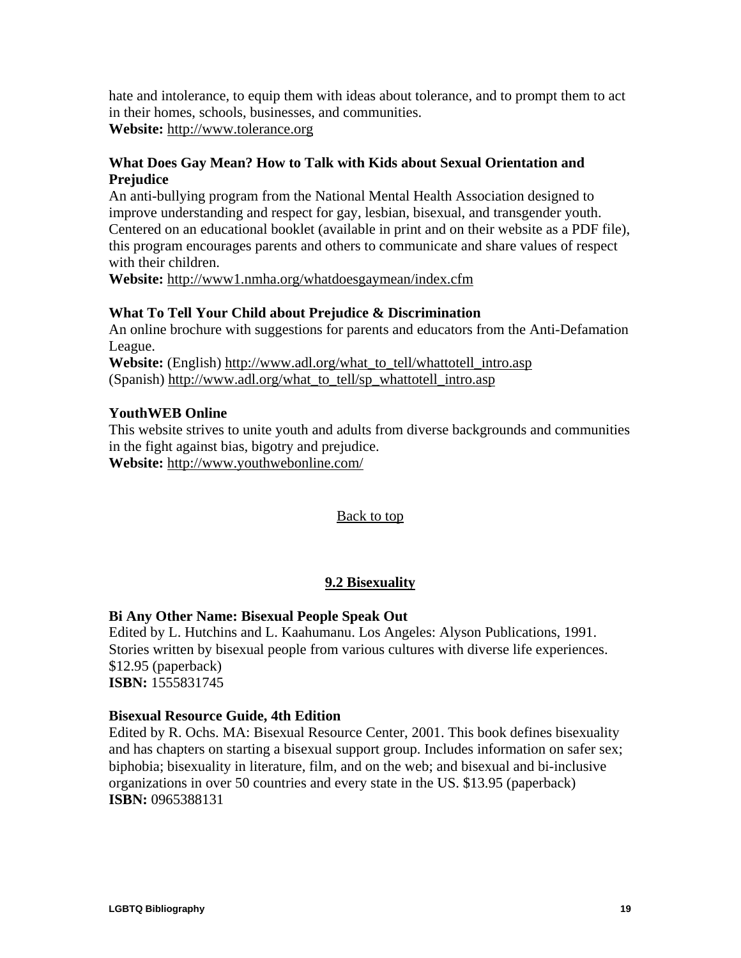<span id="page-20-0"></span>hate and intolerance, to equip them with ideas about tolerance, and to prompt them to act in their homes, schools, businesses, and communities.

**Website:** [http://www.tolerance.org](http://www.tolerance.org/)

## **What Does Gay Mean? How to Talk with Kids about Sexual Orientation and Prejudice**

An anti-bullying program from the National Mental Health Association designed to improve understanding and respect for gay, lesbian, bisexual, and transgender youth. Centered on an educational booklet (available in print and on their website as a PDF file), this program encourages parents and others to communicate and share values of respect with their children.

**Website:** <http://www1.nmha.org/whatdoesgaymean/index.cfm>

## **What To Tell Your Child about Prejudice & Discrimination**

An online brochure with suggestions for parents and educators from the Anti-Defamation League.

**Website:** (English) [http://www.adl.org/what\\_to\\_tell/whattotell\\_intro.asp](http://www.adl.org/what_to_tell/whattotell_intro.asp) (Spanish) [http://www.adl.org/what\\_to\\_tell/sp\\_whattotell\\_intro.asp](http://www.adl.org/what_to_tell/sp_whattotell_intro.asp)

## **YouthWEB Online**

This website strives to unite youth and adults from diverse backgrounds and communities in the fight against bias, bigotry and prejudice.

**Website:** <http://www.youthwebonline.com/>

## [Back to top](#page-1-0)

## **9.2 Bisexuality**

## **Bi Any Other Name: Bisexual People Speak Out**

Edited by L. Hutchins and L. Kaahumanu. Los Angeles: Alyson Publications, 1991. Stories written by bisexual people from various cultures with diverse life experiences. \$12.95 (paperback) **ISBN:** 1555831745

## **Bisexual Resource Guide, 4th Edition**

Edited by R. Ochs. MA: Bisexual Resource Center, 2001. This book defines bisexuality and has chapters on starting a bisexual support group. Includes information on safer sex; biphobia; bisexuality in literature, film, and on the web; and bisexual and bi-inclusive organizations in over 50 countries and every state in the US. \$13.95 (paperback) **ISBN:** 0965388131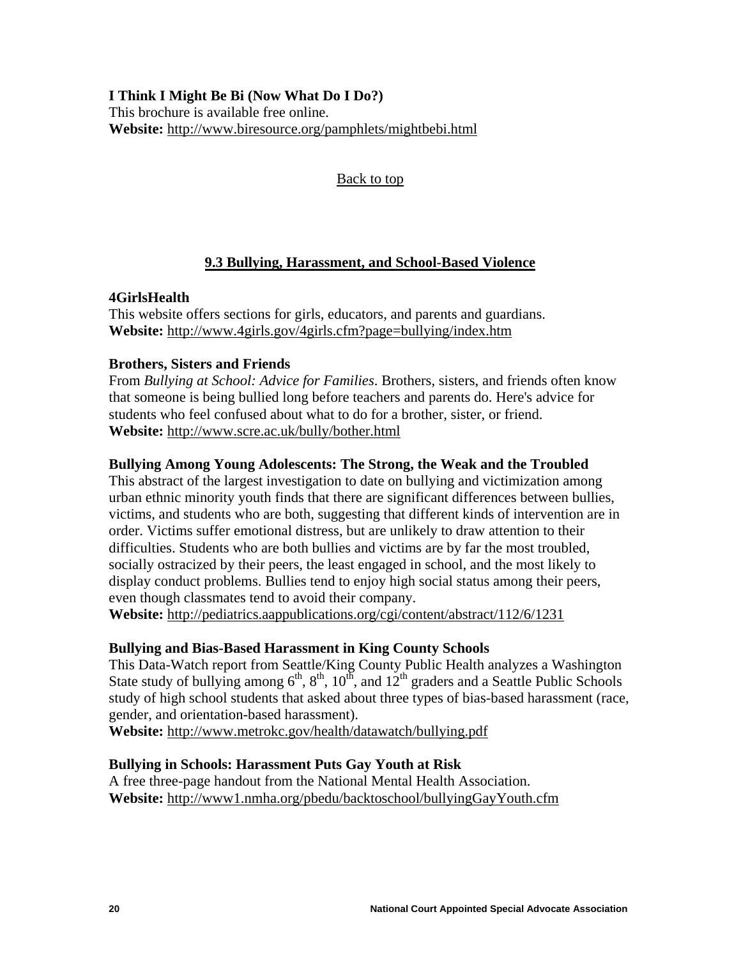<span id="page-21-0"></span>**I Think I Might Be Bi (Now What Do I Do?)**  This brochure is available free online. **Website:** <http://www.biresource.org/pamphlets/mightbebi.html>

[Back to top](#page-1-0)

## **9.3 Bullying, Harassment, and School-Based Violence**

## **4GirlsHealth**

This website offers sections for girls, educators, and parents and guardians. **Website:** <http://www.4girls.gov/4girls.cfm?page=bullying/index.htm>

## **Brothers, Sisters and Friends**

From *Bullying at School: Advice for Families*. Brothers, sisters, and friends often know that someone is being bullied long before teachers and parents do. Here's advice for students who feel confused about what to do for a brother, sister, or friend. **Website:** <http://www.scre.ac.uk/bully/bother.html>

## **Bullying Among Young Adolescents: The Strong, the Weak and the Troubled**

This abstract of the largest investigation to date on bullying and victimization among urban ethnic minority youth finds that there are significant differences between bullies, victims, and students who are both, suggesting that different kinds of intervention are in order. Victims suffer emotional distress, but are unlikely to draw attention to their difficulties. Students who are both bullies and victims are by far the most troubled, socially ostracized by their peers, the least engaged in school, and the most likely to display conduct problems. Bullies tend to enjoy high social status among their peers, even though classmates tend to avoid their company.

**Website:** <http://pediatrics.aappublications.org/cgi/content/abstract/112/6/1231>

## **Bullying and Bias-Based Harassment in King County Schools**

This Data-Watch report from Seattle/King County Public Health analyzes a Washington State study of bullying among  $6<sup>th</sup>$ ,  $8<sup>th</sup>$ ,  $10<sup>th</sup>$ , and  $12<sup>th</sup>$  graders and a Seattle Public Schools study of high school students that asked about three types of bias-based harassment (race, gender, and orientation-based harassment).

**Website:** <http://www.metrokc.gov/health/datawatch/bullying.pdf>

## **Bullying in Schools: Harassment Puts Gay Youth at Risk**

A free three-page handout from the National Mental Health Association. **Website:** <http://www1.nmha.org/pbedu/backtoschool/bullyingGayYouth.cfm>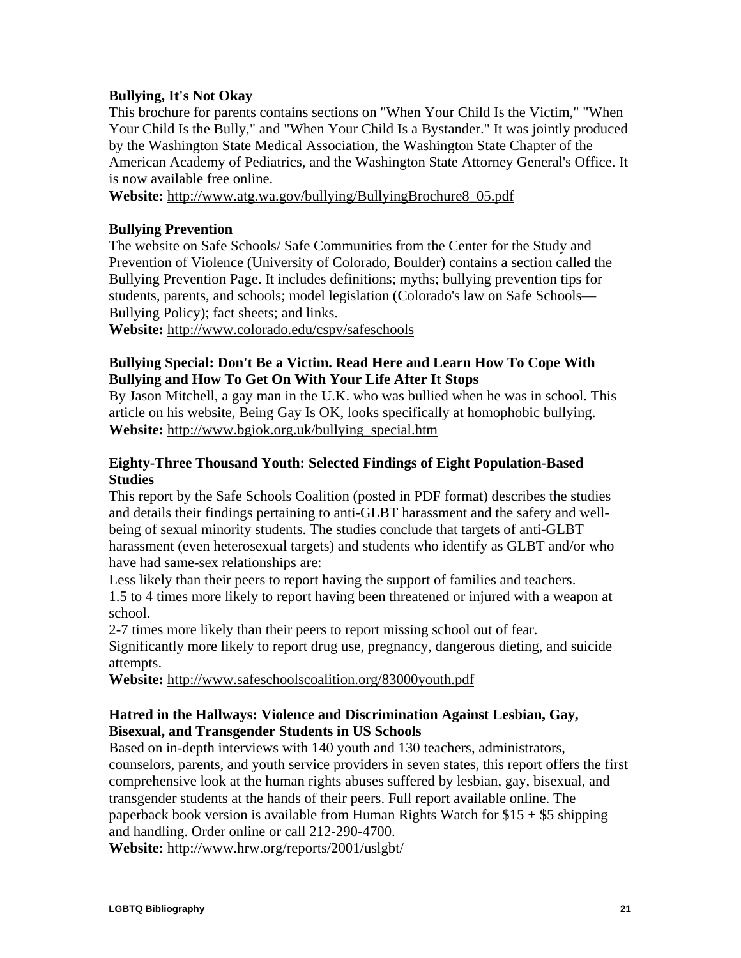## **Bullying, It's Not Okay**

This brochure for parents contains sections on "When Your Child Is the Victim," "When Your Child Is the Bully," and "When Your Child Is a Bystander." It was jointly produced by the Washington State Medical Association, the Washington State Chapter of the American Academy of Pediatrics, and the Washington State Attorney General's Office. It is now available free online.

**Website:** [http://www.atg.wa.gov/bullying/BullyingBrochure8\\_05.pdf](http://www.atg.wa.gov/bullying/BullyingBrochure8_05.pdf)

## **Bullying Prevention**

The website on Safe Schools/ Safe Communities from the Center for the Study and Prevention of Violence (University of Colorado, Boulder) contains a section called the Bullying Prevention Page. It includes definitions; myths; bullying prevention tips for students, parents, and schools; model legislation (Colorado's law on Safe Schools— Bullying Policy); fact sheets; and links.

**Website:** <http://www.colorado.edu/cspv/safeschools>

## **Bullying Special: Don't Be a Victim. Read Here and Learn How To Cope With Bullying and How To Get On With Your Life After It Stops**

By Jason Mitchell, a gay man in the U.K. who was bullied when he was in school. This article on his website, Being Gay Is OK, looks specifically at homophobic bullying. **Website:** [http://www.bgiok.org.uk/bullying\\_special.htm](http://www.bgiok.org.uk/bullying_special.htm)

## **Eighty-Three Thousand Youth: Selected Findings of Eight Population-Based Studies**

This report by the Safe Schools Coalition (posted in PDF format) describes the studies and details their findings pertaining to anti-GLBT harassment and the safety and wellbeing of sexual minority students. The studies conclude that targets of anti-GLBT harassment (even heterosexual targets) and students who identify as GLBT and/or who have had same-sex relationships are:

Less likely than their peers to report having the support of families and teachers. 1.5 to 4 times more likely to report having been threatened or injured with a weapon at school.

2-7 times more likely than their peers to report missing school out of fear.

Significantly more likely to report drug use, pregnancy, dangerous dieting, and suicide attempts.

**Website:** <http://www.safeschoolscoalition.org/83000youth.pdf>

## **Hatred in the Hallways: Violence and Discrimination Against Lesbian, Gay, Bisexual, and Transgender Students in US Schools**

Based on in-depth interviews with 140 youth and 130 teachers, administrators, counselors, parents, and youth service providers in seven states, this report offers the first comprehensive look at the human rights abuses suffered by lesbian, gay, bisexual, and transgender students at the hands of their peers. Full report available online. The paperback book version is available from Human Rights Watch for  $$15 + $5$  shipping and handling. Order online or call 212-290-4700.

**Website:** <http://www.hrw.org/reports/2001/uslgbt/>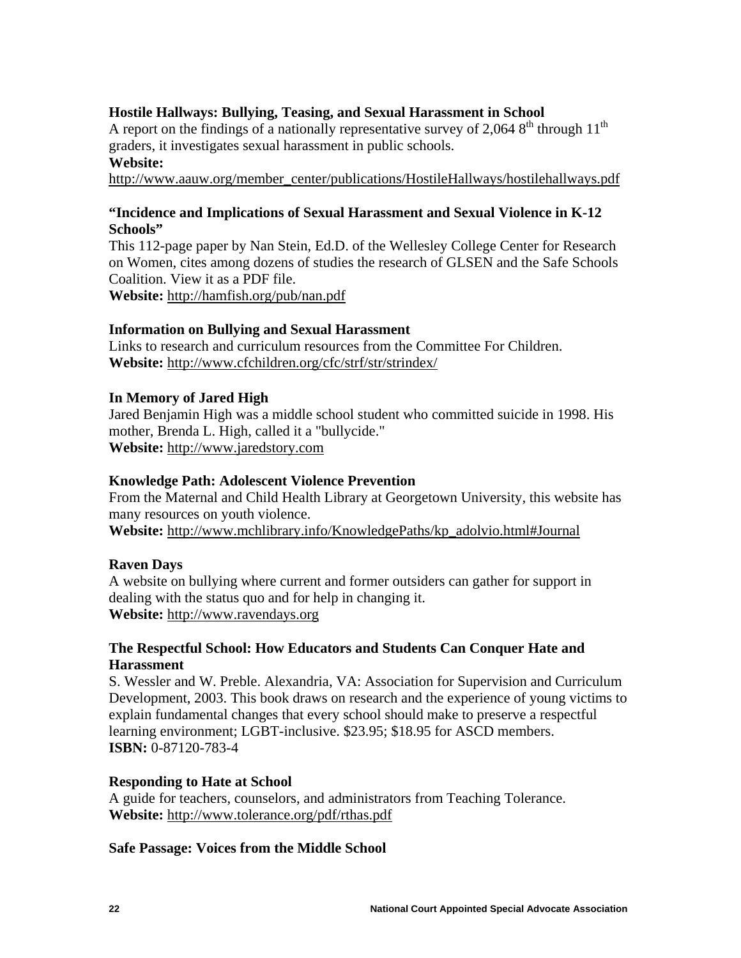## **Hostile Hallways: Bullying, Teasing, and Sexual Harassment in School**

A report on the findings of a nationally representative survey of 2,064  $8<sup>th</sup>$  through 11<sup>th</sup> graders, it investigates sexual harassment in public schools.

## **Website:**

[http://www.aauw.org/member\\_center/publications/HostileHallways/hostilehallways.pdf](http://www.aauw.org/member_center/publications/HostileHallways/hostilehallways.pdf)

## **"Incidence and Implications of Sexual Harassment and Sexual Violence in K-12 Schools"**

This 112-page paper by Nan Stein, Ed.D. of the Wellesley College Center for Research on Women, cites among dozens of studies the research of GLSEN and the Safe Schools Coalition. View it as a PDF file.

**Website:** <http://hamfish.org/pub/nan.pdf>

## **Information on Bullying and Sexual Harassment**

Links to research and curriculum resources from the Committee For Children. **Website:** <http://www.cfchildren.org/cfc/strf/str/strindex/>

#### **In Memory of Jared High**

Jared Benjamin High was a middle school student who committed suicide in 1998. His mother, Brenda L. High, called it a "bullycide." **Website:** [http://www.jaredstory.com](http://www.jaredstory.com/)

#### **Knowledge Path: Adolescent Violence Prevention**

From the Maternal and Child Health Library at Georgetown University, this website has many resources on youth violence.

**Website:** [http://www.mchlibrary.info/KnowledgePaths/kp\\_adolvio.html#Journal](http://www.mchlibrary.info/KnowledgePaths/kp_adolvio.html#Journal)

#### **Raven Days**

A website on bullying where current and former outsiders can gather for support in dealing with the status quo and for help in changing it. **Website:** [http://www.ravendays.org](http://www.ravendays.org/)

## **The Respectful School: How Educators and Students Can Conquer Hate and Harassment**

S. Wessler and W. Preble. Alexandria, VA: Association for Supervision and Curriculum Development, 2003. This book draws on research and the experience of young victims to explain fundamental changes that every school should make to preserve a respectful learning environment; LGBT-inclusive. \$23.95; \$18.95 for ASCD members. **ISBN:** 0-87120-783-4

#### **Responding to Hate at School**

A guide for teachers, counselors, and administrators from Teaching Tolerance. **Website:** <http://www.tolerance.org/pdf/rthas.pdf>

#### **Safe Passage: Voices from the Middle School**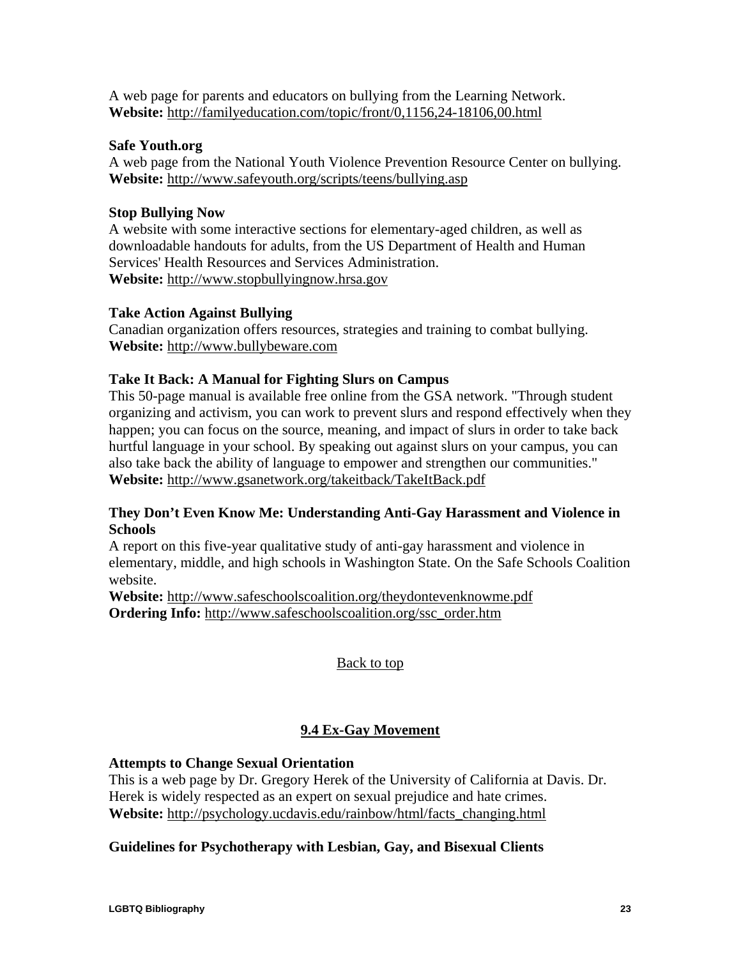<span id="page-24-0"></span>A web page for parents and educators on bullying from the Learning Network. **Website:** <http://familyeducation.com/topic/front/0,1156,24-18106,00.html>

## **Safe Youth.org**

A web page from the National Youth Violence Prevention Resource Center on bullying. **Website:** <http://www.safeyouth.org/scripts/teens/bullying.asp>

## **Stop Bullying Now**

A website with some interactive sections for elementary-aged children, as well as downloadable handouts for adults, from the US Department of Health and Human Services' Health Resources and Services Administration. **Website:** [http://www.stopbullyingnow.hrsa.gov](http://www.stopbullyingnow.hrsa.gov/)

## **Take Action Against Bullying**

Canadian organization offers resources, strategies and training to combat bullying. **Website:** [http://www.bullybeware.com](http://www.bullybeware.com/)

## **Take It Back: A Manual for Fighting Slurs on Campus**

This 50-page manual is available free online from the GSA network. "Through student organizing and activism, you can work to prevent slurs and respond effectively when they happen; you can focus on the source, meaning, and impact of slurs in order to take back hurtful language in your school. By speaking out against slurs on your campus, you can also take back the ability of language to empower and strengthen our communities." **Website:** <http://www.gsanetwork.org/takeitback/TakeItBack.pdf>

## **They Don't Even Know Me: Understanding Anti-Gay Harassment and Violence in Schools**

A report on this five-year qualitative study of anti-gay harassment and violence in elementary, middle, and high schools in Washington State. On the Safe Schools Coalition website.

**Website:** <http://www.safeschoolscoalition.org/theydontevenknowme.pdf> **Ordering Info:** [http://www.safeschoolscoalition.org/ssc\\_order.htm](http://www.safeschoolscoalition.org/ssc_order.htm)

[Back to top](#page-1-0)

## **9.4 Ex-Gay Movement**

## **Attempts to Change Sexual Orientation**

This is a web page by Dr. Gregory Herek of the University of California at Davis. Dr. Herek is widely respected as an expert on sexual prejudice and hate crimes. **Website:** [http://psychology.ucdavis.edu/rainbow/html/facts\\_changing.html](http://psychology.ucdavis.edu/rainbow/html/facts_changing.html)

## **Guidelines for Psychotherapy with Lesbian, Gay, and Bisexual Clients**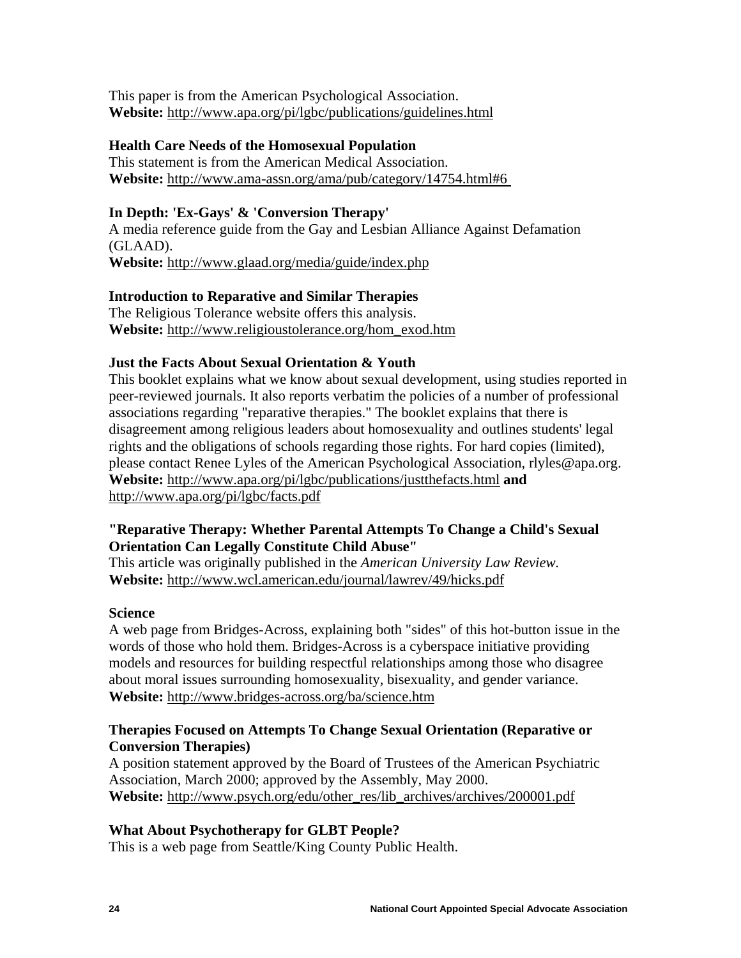This paper is from the American Psychological Association. **Website:** <http://www.apa.org/pi/lgbc/publications/guidelines.html>

## **Health Care Needs of the Homosexual Population**

This statement is from the American Medical Association. **Website:** <http://www.ama-assn.org/ama/pub/category/14754.html#6>

## **In Depth: 'Ex-Gays' & 'Conversion Therapy'**

A media reference guide from the Gay and Lesbian Alliance Against Defamation (GLAAD). **Website:** <http://www.glaad.org/media/guide/index.php>

## **Introduction to Reparative and Similar Therapies**

The Religious Tolerance website offers this analysis. **Website:** [http://www.religioustolerance.org/hom\\_exod.htm](http://www.religioustolerance.org/hom_exod.htm)

## **Just the Facts About Sexual Orientation & Youth**

This booklet explains what we know about sexual development, using studies reported in peer-reviewed journals. It also reports verbatim the policies of a number of professional associations regarding "reparative therapies." The booklet explains that there is disagreement among religious leaders about homosexuality and outlines students' legal rights and the obligations of schools regarding those rights. For hard copies (limited), please contact Renee Lyles of the American Psychological Association, [rlyles@apa.org.](mailto:rlyles@apa.org) **Website:** <http://www.apa.org/pi/lgbc/publications/justthefacts.html> **and** <http://www.apa.org/pi/lgbc/facts.pdf>

## **"Reparative Therapy: Whether Parental Attempts To Change a Child's Sexual Orientation Can Legally Constitute Child Abuse"**

This article was originally published in the *American University Law Review.* **Website:** <http://www.wcl.american.edu/journal/lawrev/49/hicks.pdf>

## **Science**

A web page from Bridges-Across, explaining both "sides" of this hot-button issue in the words of those who hold them. Bridges-Across is a cyberspace initiative providing models and resources for building respectful relationships among those who disagree about moral issues surrounding homosexuality, bisexuality, and gender variance. **Website:** <http://www.bridges-across.org/ba/science.htm>

## **Therapies Focused on Attempts To Change Sexual Orientation (Reparative or Conversion Therapies)**

A position statement approved by the Board of Trustees of the American Psychiatric Association, March 2000; approved by the Assembly, May 2000. **Website:** [http://www.psych.org/edu/other\\_res/lib\\_archives/archives/200001.pdf](http://www.psych.org/edu/other_res/lib_archives/archives/200001.pdf)

## **What About Psychotherapy for GLBT People?**

This is a web page from Seattle/King County Public Health.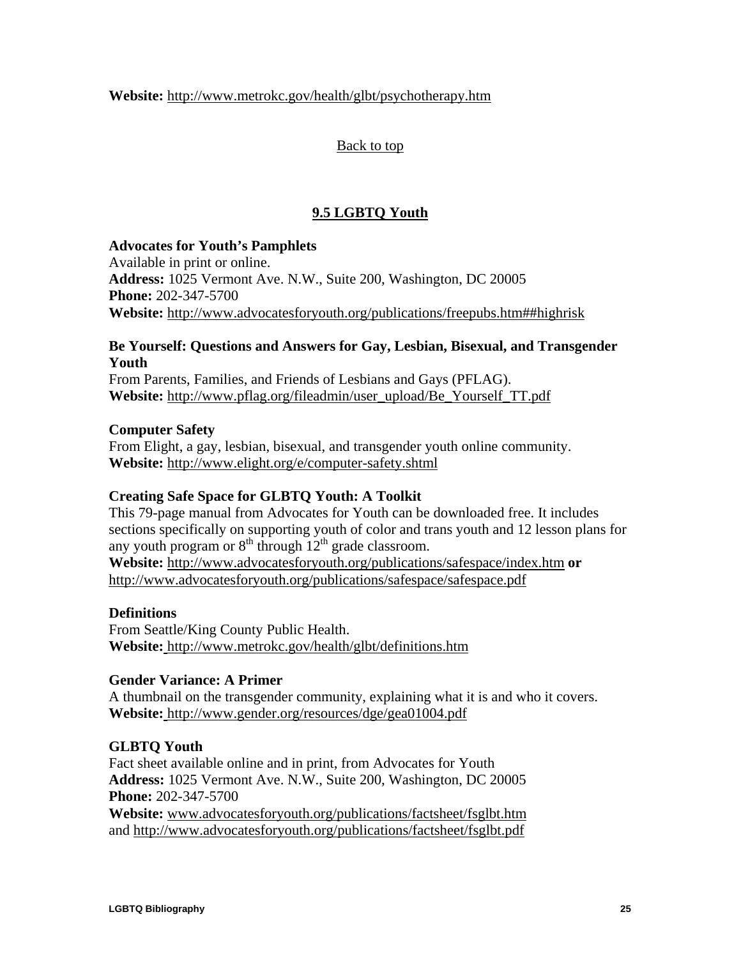<span id="page-26-0"></span>**Website:** <http://www.metrokc.gov/health/glbt/psychotherapy.htm>

[Back to top](#page-1-0)

## **9.5 LGBTQ Youth**

## **Advocates for Youth's Pamphlets**

Available in print or online. **Address:** 1025 Vermont Ave. N.W., Suite 200, Washington, DC 20005 **Phone:** 202-347-5700 **Website:** <http://www.advocatesforyouth.org/publications/freepubs.htm##highrisk>

## **Be Yourself: Questions and Answers for Gay, Lesbian, Bisexual, and Transgender Youth**

From Parents, Families, and Friends of Lesbians and Gays (PFLAG). **Website:** [http://www.pflag.org/fileadmin/user\\_upload/Be\\_Yourself\\_TT.pdf](http://www.pflag.org/fileadmin/user_upload/Be_Yourself_TT.pdf)

## **Computer Safety**

From Elight, a gay, lesbian, bisexual, and transgender youth online community. **Website:** <http://www.elight.org/e/computer-safety.shtml>

## **Creating Safe Space for GLBTQ Youth: A Toolkit**

This 79-page manual from Advocates for Youth can be downloaded free. It includes sections specifically on supporting youth of color and trans youth and 12 lesson plans for any youth program or  $8<sup>th</sup>$  through  $12<sup>th</sup>$  grade classroom. **Website:** <http://www.advocatesforyouth.org/publications/safespace/index.htm> **or**  <http://www.advocatesforyouth.org/publications/safespace/safespace.pdf>

## **Definitions**

From Seattle/King County Public Health. **Website:** <http://www.metrokc.gov/health/glbt/definitions.htm>

## **Gender Variance: A Primer**

A thumbnail on the transgender community, explaining what it is and who it covers. **Website:** <http://www.gender.org/resources/dge/gea01004.pdf>

## **GLBTQ Youth**

Fact sheet available online and in print, from Advocates for Youth **Address:** 1025 Vermont Ave. N.W., Suite 200, Washington, DC 20005 **Phone:** 202-347-5700

**Website:** [www.advocatesforyouth.org/publications/factsheet/fsglbt.htm](http://www.advocatesforyouth.org/publications/factsheet/fsglbt.htm) and<http://www.advocatesforyouth.org/publications/factsheet/fsglbt.pdf>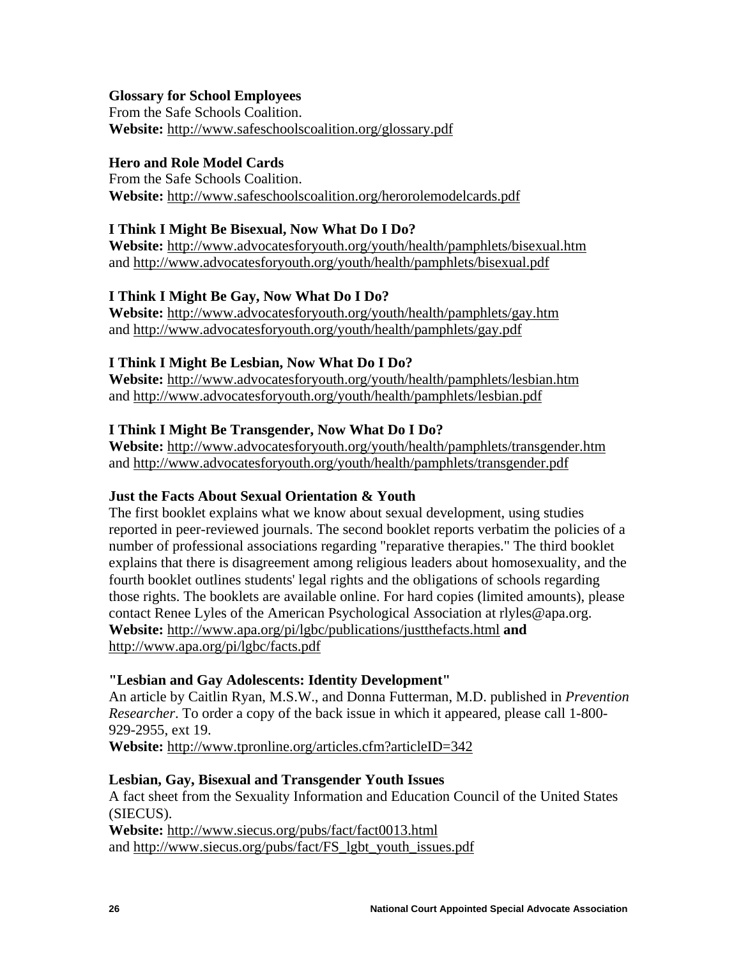## **Glossary for School Employees**

From the Safe Schools Coalition. **Website:** <http://www.safeschoolscoalition.org/glossary.pdf>

## **Hero and Role Model Cards**

From the Safe Schools Coalition. **Website:** <http://www.safeschoolscoalition.org/herorolemodelcards.pdf>

## **I Think I Might Be Bisexual, Now What Do I Do?**

**Website:** <http://www.advocatesforyouth.org/youth/health/pamphlets/bisexual.htm> and<http://www.advocatesforyouth.org/youth/health/pamphlets/bisexual.pdf>

## **I Think I Might Be Gay, Now What Do I Do?**

**Website:** <http://www.advocatesforyouth.org/youth/health/pamphlets/gay.htm> and <http://www.advocatesforyouth.org/youth/health/pamphlets/gay.pdf>

## **I Think I Might Be Lesbian, Now What Do I Do?**

**Website:** <http://www.advocatesforyouth.org/youth/health/pamphlets/lesbian.htm> and <http://www.advocatesforyouth.org/youth/health/pamphlets/lesbian.pdf>

## **I Think I Might Be Transgender, Now What Do I Do?**

**Website:** <http://www.advocatesforyouth.org/youth/health/pamphlets/transgender.htm> and <http://www.advocatesforyouth.org/youth/health/pamphlets/transgender.pdf>

## **Just the Facts About Sexual Orientation & Youth**

The first booklet explains what we know about sexual development, using studies reported in peer-reviewed journals. The second booklet reports verbatim the policies of a number of professional associations regarding "reparative therapies." The third booklet explains that there is disagreement among religious leaders about homosexuality, and the fourth booklet outlines students' legal rights and the obligations of schools regarding those rights. The booklets are available online. For hard copies (limited amounts), please contact Renee Lyles of the American Psychological Association at [rlyles@apa.org](mailto:rlyles@apa.org). **Website:** <http://www.apa.org/pi/lgbc/publications/justthefacts.html> **and**  <http://www.apa.org/pi/lgbc/facts.pdf>

## **"Lesbian and Gay Adolescents: Identity Development"**

An article by Caitlin Ryan, M.S.W., and Donna Futterman, M.D. published in *Prevention Researcher*. To order a copy of the back issue in which it appeared, please call 1-800- 929-2955, ext 19.

**Website:** <http://www.tpronline.org/articles.cfm?articleID=342>

## **Lesbian, Gay, Bisexual and Transgender Youth Issues**

A fact sheet from the Sexuality Information and Education Council of the United States (SIECUS).

**Website:** <http://www.siecus.org/pubs/fact/fact0013.html> and [http://www.siecus.org/pubs/fact/FS\\_lgbt\\_youth\\_issues.pdf](http://www.siecus.org/pubs/fact/FS_lgbt_youth_issues.pdf)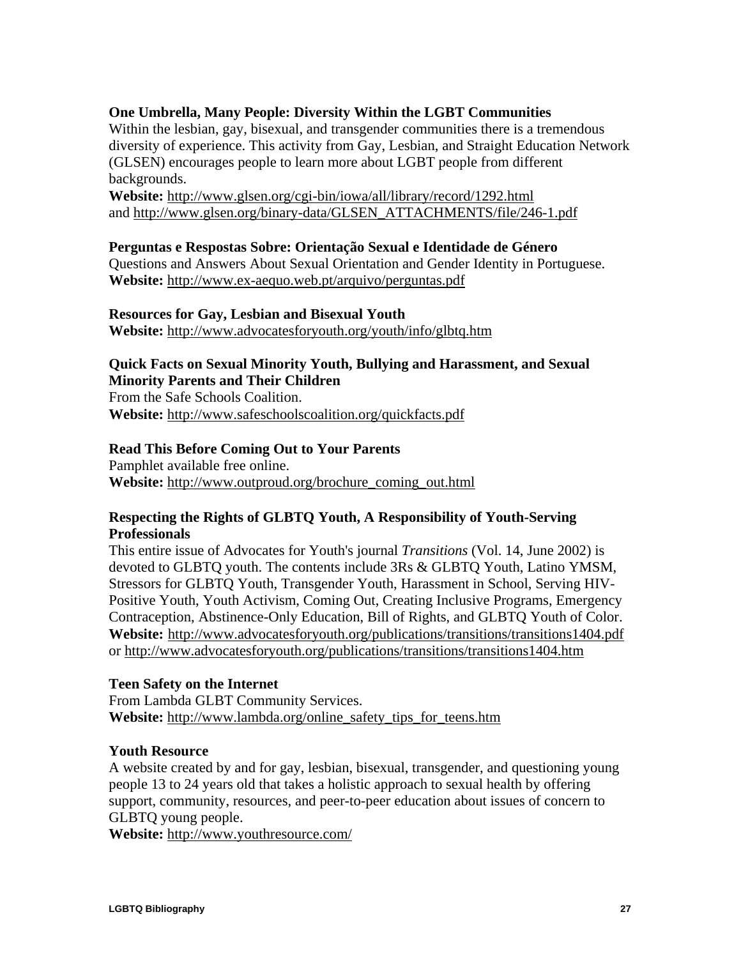## **One Umbrella, Many People: Diversity Within the LGBT Communities**

Within the lesbian, gay, bisexual, and transgender communities there is a tremendous diversity of experience. This activity from Gay, Lesbian, and Straight Education Network (GLSEN) encourages people to learn more about LGBT people from different backgrounds.

**Website:** <http://www.glsen.org/cgi-bin/iowa/all/library/record/1292.html> and [http://www.glsen.org/binary-data/GLSEN\\_ATTACHMENTS/file/246-1.pdf](http://www.glsen.org/binary-data/GLSEN_ATTACHMENTS/file/246-1.pdf)

#### **Perguntas e Respostas Sobre: Orientação Sexual e Identidade de Género**

Questions and Answers About Sexual Orientation and Gender Identity in Portuguese. **Website:** <http://www.ex-aequo.web.pt/arquivo/perguntas.pdf>

#### **Resources for Gay, Lesbian and Bisexual Youth**

**Website:** <http://www.advocatesforyouth.org/youth/info/glbtq.htm>

## **Quick Facts on Sexual Minority Youth, Bullying and Harassment, and Sexual Minority Parents and Their Children**

From the Safe Schools Coalition. **Website:** <http://www.safeschoolscoalition.org/quickfacts.pdf>

#### **Read This Before Coming Out to Your Parents**

Pamphlet available free online. **Website:** [http://www.outproud.org/brochure\\_coming\\_out.html](http://www.outproud.org/brochure_coming_out.html)

## **Respecting the Rights of GLBTQ Youth, A Responsibility of Youth-Serving Professionals**

This entire issue of Advocates for Youth's journal *Transitions* (Vol. 14, June 2002) is devoted to GLBTQ youth. The contents include 3Rs & GLBTQ Youth, Latino YMSM, Stressors for GLBTQ Youth, Transgender Youth, Harassment in School, Serving HIV-Positive Youth, Youth Activism, Coming Out, Creating Inclusive Programs, Emergency Contraception, Abstinence-Only Education, Bill of Rights, and GLBTQ Youth of Color. **Website:** <http://www.advocatesforyouth.org/publications/transitions/transitions1404.pdf> or<http://www.advocatesforyouth.org/publications/transitions/transitions1404.htm>

## **Teen Safety on the Internet**

From Lambda GLBT Community Services. **Website:** [http://www.lambda.org/online\\_safety\\_tips\\_for\\_teens.htm](http://www.lambda.org/online_safety_tips_for_teens.htm)

#### **Youth Resource**

A website created by and for gay, lesbian, bisexual, transgender, and questioning young people 13 to 24 years old that takes a holistic approach to sexual health by offering support, community, resources, and peer-to-peer education about issues of concern to GLBTQ young people.

**Website:** <http://www.youthresource.com/>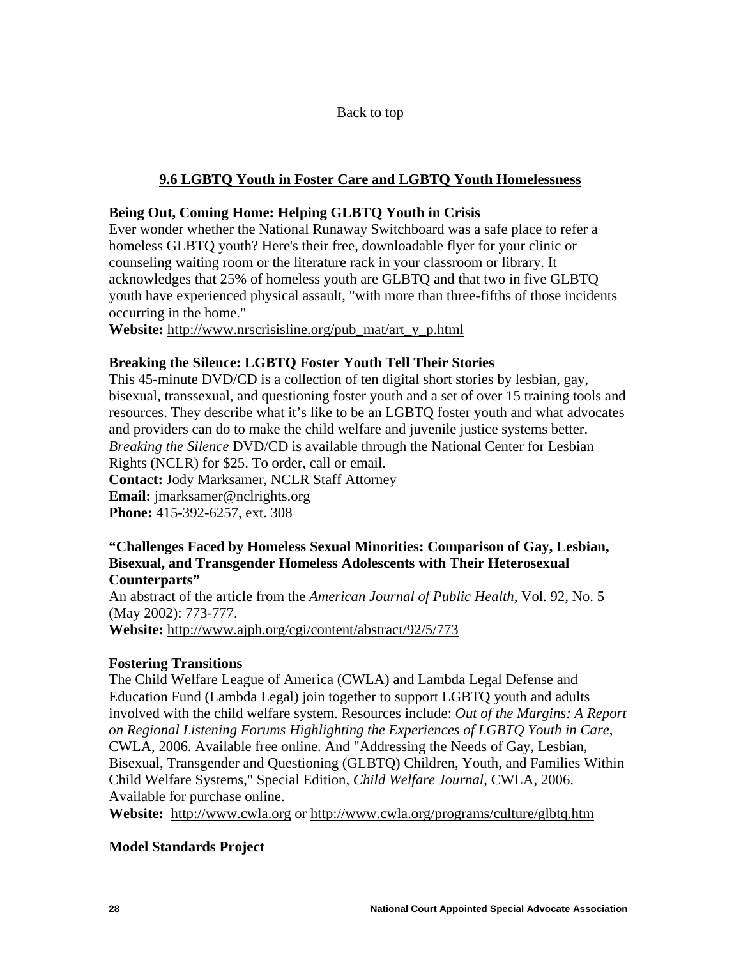## [Back to top](#page-1-0)

## **9.6 LGBTQ Youth in Foster Care and LGBTQ Youth Homelessness**

## <span id="page-29-0"></span>**Being Out, Coming Home: Helping GLBTQ Youth in Crisis**

Ever wonder whether the National Runaway Switchboard was a safe place to refer a homeless GLBTQ youth? Here's their free, downloadable flyer for your clinic or counseling waiting room or the literature rack in your classroom or library. It acknowledges that 25% of homeless youth are GLBTQ and that two in five GLBTQ youth have experienced physical assault, "with more than three-fifths of those incidents occurring in the home."

**Website:** [http://www.nrscrisisline.org/pub\\_mat/art\\_y\\_p.html](http://www.nrscrisisline.org/pub_mat/art_y_p.html)

## **Breaking the Silence: LGBTQ Foster Youth Tell Their Stories**

This 45-minute DVD/CD is a collection of ten digital short stories by lesbian, gay, bisexual, transsexual, and questioning foster youth and a set of over 15 training tools and resources. They describe what it's like to be an LGBTQ foster youth and what advocates and providers can do to make the child welfare and juvenile justice systems better. *Breaking the Silence* DVD/CD is available through the National Center for Lesbian Rights (NCLR) for \$25. To order, call or email. **Contact:** Jody Marksamer, NCLR Staff Attorney **Email:** [jmarksamer@nclrights.org](mailto:jmarksamer@nclrights.org) **Phone:** 415-392-6257, ext. 308

#### **"Challenges Faced by Homeless Sexual Minorities: Comparison of Gay, Lesbian, Bisexual, and Transgender Homeless Adolescents with Their Heterosexual Counterparts"**

An abstract of the article from the *American Journal of Public Health*, Vol. 92, No. 5 (May 2002): 773-777.

**Website:** <http://www.ajph.org/cgi/content/abstract/92/5/773>

## **Fostering Transitions**

The Child Welfare League of America (CWLA) and Lambda Legal Defense and Education Fund (Lambda Legal) join together to support LGBTQ youth and adults involved with the child welfare system. Resources include: *Out of the Margins: A Report on Regional Listening Forums Highlighting the Experiences of LGBTQ Youth in Care*, CWLA, 2006. Available free online. And "Addressing the Needs of Gay, Lesbian, Bisexual, Transgender and Questioning (GLBTQ) Children, Youth, and Families Within Child Welfare Systems," Special Edition, *Child Welfare Journal*, CWLA, 2006. Available for purchase online.

**Website:** http:/[/www.cwla.org](http://www.cwla.org/) or <http://www.cwla.org/programs/culture/glbtq.htm>

## **Model Standards Project**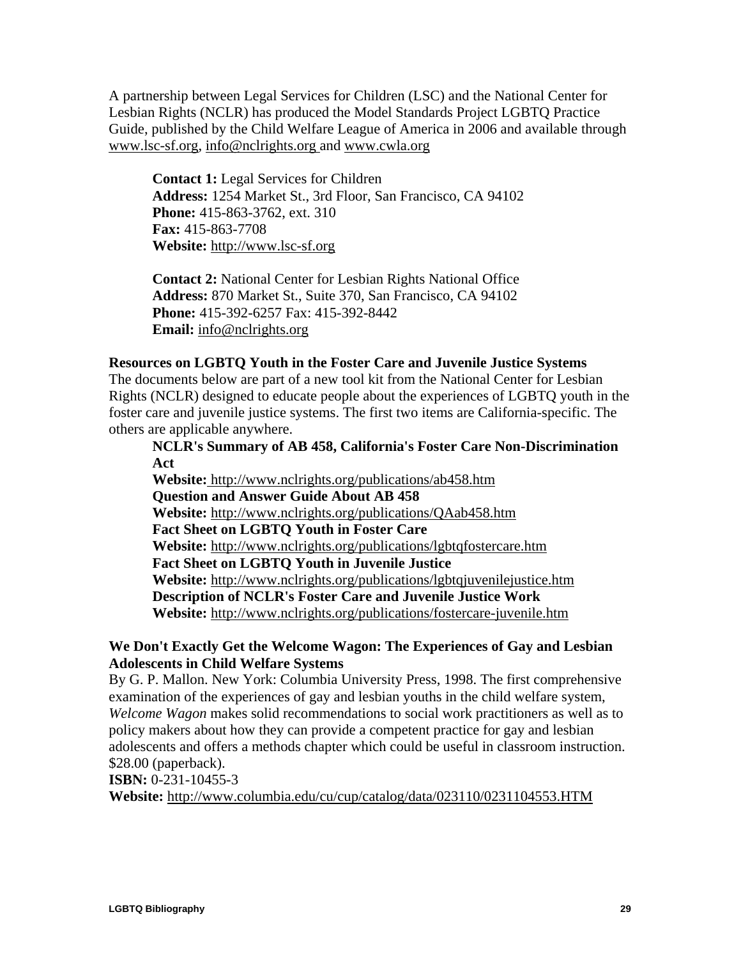A partnership between Legal Services for Children (LSC) and the National Center for Lesbian Rights (NCLR) has produced the Model Standards Project LGBTQ Practice Guide, published by the Child Welfare League of America in 2006 and available through [www.lsc-sf.org,](http://www.lsc-sf.org/) [info@nclrights.org](mailto:info@nclrights.org) and [www.cwla.org](http://www.cwla.org/)

**Contact 1:** Legal Services for Children **Address:** 1254 Market St., 3rd Floor, San Francisco, CA 94102 **Phone:** 415-863-3762, ext. 310 **Fax:** 415-863-7708 **Website:** [http://www.lsc-sf.org](http://www.lsc-sf.org/)

**Contact 2:** National Center for Lesbian Rights National Office **Address:** 870 Market St., Suite 370, San Francisco, CA 94102 **Phone:** 415-392-6257 Fax: 415-392-8442 **Email:** [info@nclrights.org](mailto:info@nclrights.org)

#### **Resources on LGBTQ Youth in the Foster Care and Juvenile Justice Systems**

The documents below are part of a new tool kit from the National Center for Lesbian Rights (NCLR) designed to educate people about the experiences of LGBTQ youth in the foster care and juvenile justice systems. The first two items are California-specific. The others are applicable anywhere.

**NCLR's Summary of AB 458, California's Foster Care Non-Discrimination Act** 

**Website:** <http://www.nclrights.org/publications/ab458.htm> **Question and Answer Guide About AB 458 Website:** <http://www.nclrights.org/publications/QAab458.htm> **Fact Sheet on LGBTQ Youth in Foster Care Website:** <http://www.nclrights.org/publications/lgbtqfostercare.htm> **Fact Sheet on LGBTQ Youth in Juvenile Justice Website:** <http://www.nclrights.org/publications/lgbtqjuvenilejustice.htm> **Description of NCLR's Foster Care and Juvenile Justice Work Website:** <http://www.nclrights.org/publications/fostercare-juvenile.htm>

## **We Don't Exactly Get the Welcome Wagon: The Experiences of Gay and Lesbian Adolescents in Child Welfare Systems**

By G. P. Mallon. New York: Columbia University Press, 1998. The first comprehensive examination of the experiences of gay and lesbian youths in the child welfare system, *Welcome Wagon* makes solid recommendations to social work practitioners as well as to policy makers about how they can provide a competent practice for gay and lesbian adolescents and offers a methods chapter which could be useful in classroom instruction. \$28.00 (paperback).

**ISBN:** 0-231-10455-3 **Website:** <http://www.columbia.edu/cu/cup/catalog/data/023110/0231104553.HTM>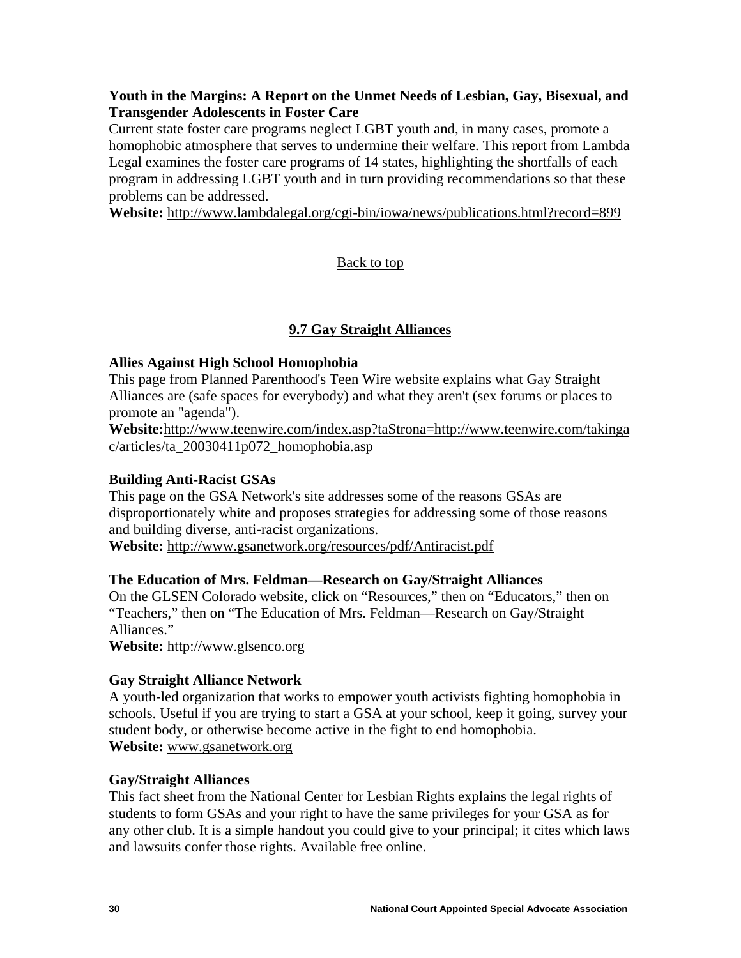## <span id="page-31-0"></span>**Youth in the Margins: A Report on the Unmet Needs of Lesbian, Gay, Bisexual, and Transgender Adolescents in Foster Care**

Current state foster care programs neglect LGBT youth and, in many cases, promote a homophobic atmosphere that serves to undermine their welfare. This report from Lambda Legal examines the foster care programs of 14 states, highlighting the shortfalls of each program in addressing LGBT youth and in turn providing recommendations so that these problems can be addressed.

**Website:** <http://www.lambdalegal.org/cgi-bin/iowa/news/publications.html?record=899>

## [Back to top](#page-1-0)

## **9.7 Gay Straight Alliances**

## **Allies Against High School Homophobia**

This page from Planned Parenthood's Teen Wire website explains what Gay Straight Alliances are (safe spaces for everybody) and what they aren't (sex forums or places to promote an "agenda").

**Website:**[http://www.teenwire.com/index.asp?taStrona=http://www.teenwire.com/takinga](http://www.teenwire.com/index.asp?taStrona=http://www.teenwire.com/takingac/articles/ta_20030411p072_homophobia.asp) [c/articles/ta\\_20030411p072\\_homophobia.asp](http://www.teenwire.com/index.asp?taStrona=http://www.teenwire.com/takingac/articles/ta_20030411p072_homophobia.asp)

## **Building Anti-Racist GSAs**

This page on the GSA Network's site addresses some of the reasons GSAs are disproportionately white and proposes strategies for addressing some of those reasons and building diverse, anti-racist organizations.

**Website:** <http://www.gsanetwork.org/resources/pdf/Antiracist.pdf>

## **The Education of Mrs. Feldman—Research on Gay/Straight Alliances**

On the GLSEN Colorado website, click on "Resources," then on "Educators," then on "Teachers," then on "The Education of Mrs. Feldman—Research on Gay/Straight Alliances."

**Website:** [http://www.glsenco.org](http://www.glsenco.org/)

## **Gay Straight Alliance Network**

A youth-led organization that works to empower youth activists fighting homophobia in schools. Useful if you are trying to start a GSA at your school, keep it going, survey your student body, or otherwise become active in the fight to end homophobia. **Website:** [www.gsanetwork.org](http://www.gsanetwork.org/)

## **Gay/Straight Alliances**

This fact sheet from the National Center for Lesbian Rights explains the legal rights of students to form GSAs and your right to have the same privileges for your GSA as for any other club. It is a simple handout you could give to your principal; it cites which laws and lawsuits confer those rights. Available free online.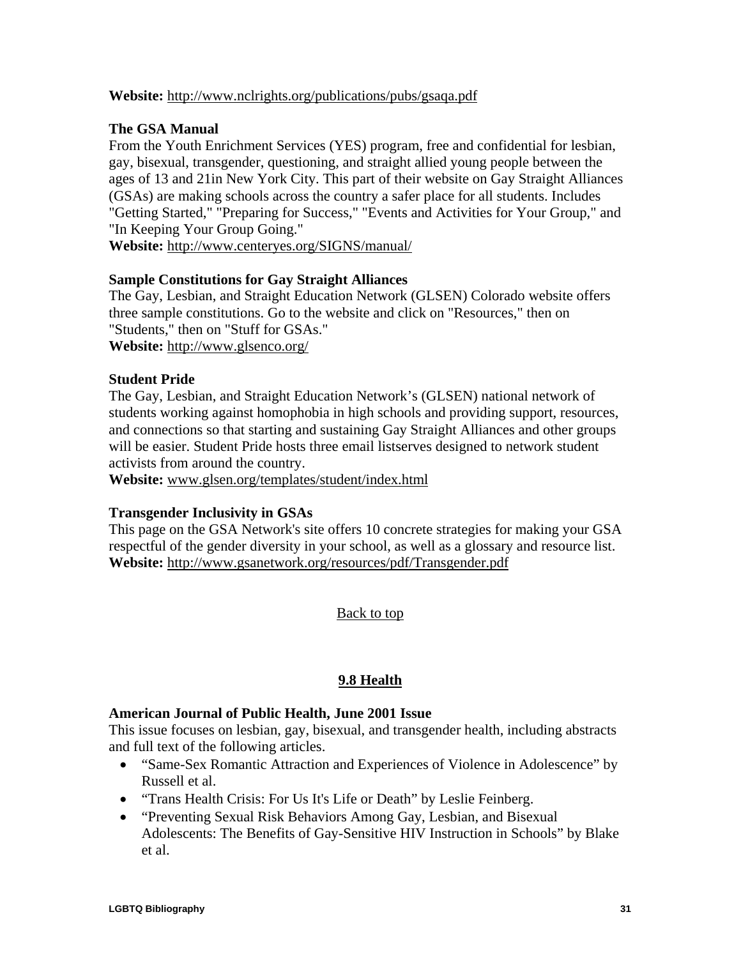## <span id="page-32-0"></span>**Website:** <http://www.nclrights.org/publications/pubs/gsaqa.pdf>

## **The GSA Manual**

From the Youth Enrichment Services (YES) program, free and confidential for lesbian, gay, bisexual, transgender, questioning, and straight allied young people between the ages of 13 and 21in New York City. This part of their website on Gay Straight Alliances (GSAs) are making schools across the country a safer place for all students. Includes "Getting Started," "Preparing for Success," "Events and Activities for Your Group," and "In Keeping Your Group Going."

**Website:** <http://www.centeryes.org/SIGNS/manual/>

## **Sample Constitutions for Gay Straight Alliances**

The Gay, Lesbian, and Straight Education Network (GLSEN) Colorado website offers three sample constitutions. Go to the website and click on "Resources," then on "Students," then on "Stuff for GSAs."

**Website:** <http://www.glsenco.org/>

## **Student Pride**

The Gay, Lesbian, and Straight Education Network's (GLSEN) national network of students working against homophobia in high schools and providing support, resources, and connections so that starting and sustaining Gay Straight Alliances and other groups will be easier. Student Pride hosts three email listserves designed to network student activists from around the country.

**Website:** [www.glsen.org/templates/student/index.html](http://www.glsen.org/templates/student/index.html)

## **Transgender Inclusivity in GSAs**

This page on the GSA Network's site offers 10 concrete strategies for making your GSA respectful of the gender diversity in your school, as well as a glossary and resource list. **Website:** <http://www.gsanetwork.org/resources/pdf/Transgender.pdf>

[Back to top](#page-1-0)

## **9.8 Health**

## **American Journal of Public Health, June 2001 Issue**

This issue focuses on lesbian, gay, bisexual, and transgender health, including abstracts and full text of the following articles.

- "Same-Sex Romantic Attraction and Experiences of Violence in Adolescence" by Russell et al.
- "Trans Health Crisis: For Us It's Life or Death" by Leslie Feinberg.
- "Preventing Sexual Risk Behaviors Among Gay, Lesbian, and Bisexual Adolescents: The Benefits of Gay-Sensitive HIV Instruction in Schools" by Blake et al.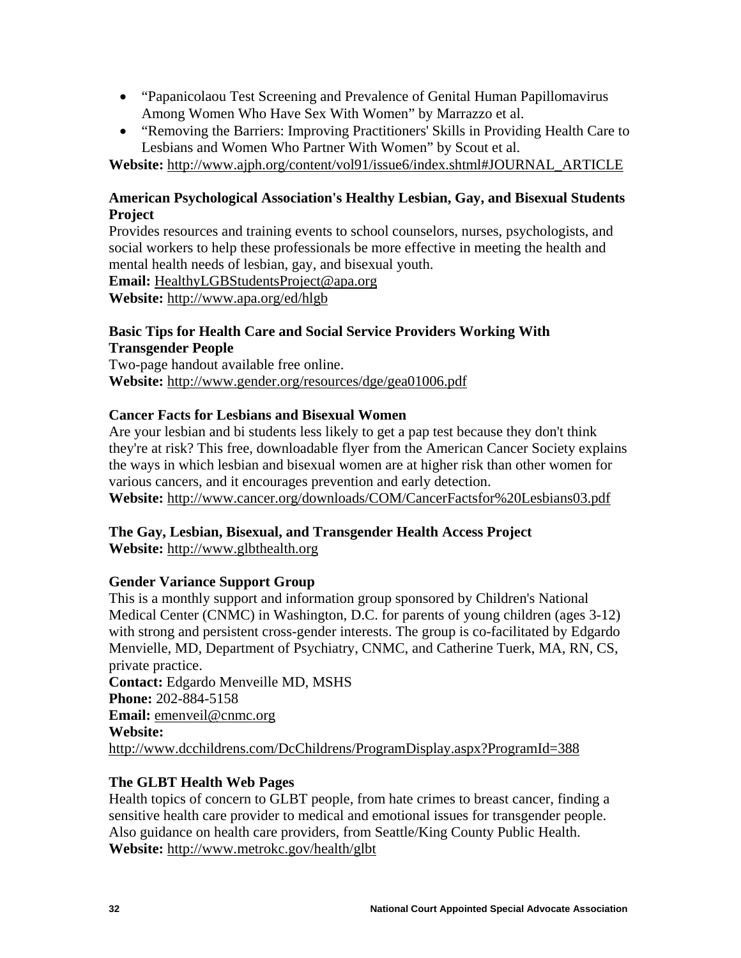- "Papanicolaou Test Screening and Prevalence of Genital Human Papillomavirus Among Women Who Have Sex With Women" by Marrazzo et al.
- "Removing the Barriers: Improving Practitioners' Skills in Providing Health Care to Lesbians and Women Who Partner With Women" by Scout et al.

**Website:** [http://www.ajph.org/content/vol91/issue6/index.shtml#JOURNAL\\_ARTICLE](http://www.ajph.org/content/vol91/issue6/index.shtml#JOURNAL_ARTICLE)

## **American Psychological Association's Healthy Lesbian, Gay, and Bisexual Students Project**

Provides resources and training events to school counselors, nurses, psychologists, and social workers to help these professionals be more effective in meeting the health and mental health needs of lesbian, gay, and bisexual youth.

**Email:** [HealthyLGBStudentsProject@apa.org](mailto:HealthyLGBStudentsProject@apa.org)

**Website:** [http://www.apa.org/ed/hlgb](http://www.apa.org/ed/hlgb.html)

## **Basic Tips for Health Care and Social Service Providers Working With Transgender People**

Two-page handout available free online. **Website:** <http://www.gender.org/resources/dge/gea01006.pdf>

## **Cancer Facts for Lesbians and Bisexual Women**

Are your lesbian and bi students less likely to get a pap test because they don't think they're at risk? This free, downloadable flyer from the American Cancer Society explains the ways in which lesbian and bisexual women are at higher risk than other women for various cancers, and it encourages prevention and early detection. **Website:** <http://www.cancer.org/downloads/COM/CancerFactsfor%20Lesbians03.pdf>

## **The Gay, Lesbian, Bisexual, and Transgender Health Access Project**

**Website:** [http://www.glbthealth.org](http://www.glbthealth.org/)

## **Gender Variance Support Group**

This is a monthly support and information group sponsored by Children's National Medical Center (CNMC) in Washington, D.C. for parents of young children (ages 3-12) with strong and persistent cross-gender interests. The group is co-facilitated by Edgardo Menvielle, MD, Department of Psychiatry, CNMC, and Catherine Tuerk, MA, RN, CS, private practice. **Contact:** Edgardo Menveille MD, MSHS **Phone:** 202-884-5158 **Email:** [emenveil@cnmc.org](mailto:emenveil@cnmc.org) **Website:** 

<http://www.dcchildrens.com/DcChildrens/ProgramDisplay.aspx?ProgramId=388>

## **The GLBT Health Web Pages**

Health topics of concern to GLBT people, from hate crimes to breast cancer, finding a sensitive health care provider to medical and emotional issues for transgender people. Also guidance on health care providers, from Seattle/King County Public Health. **Website:** <http://www.metrokc.gov/health/glbt>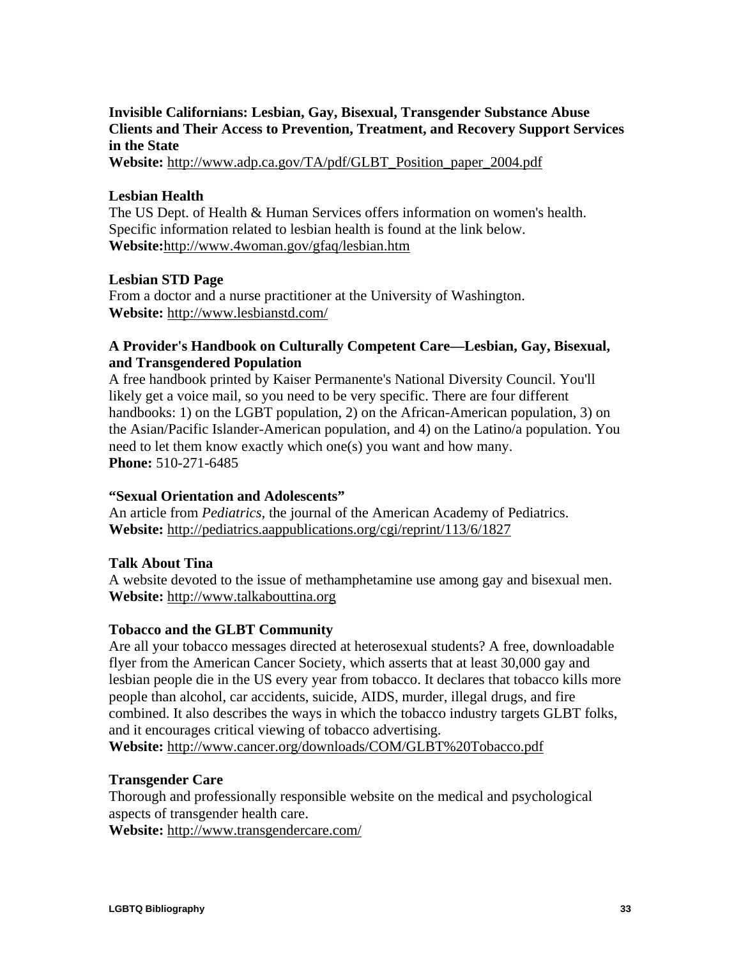## **Invisible Californians: Lesbian, Gay, Bisexual, Transgender Substance Abuse Clients and Their Access to Prevention, Treatment, and Recovery Support Services in the State**

**Website:** [http://www.adp.ca.gov/TA/pdf/GLBT\\_Position\\_paper\\_2004.pdf](http://www.adp.ca.gov/TA/pdf/GLBT_Position_paper_2004.pdf)

## **Lesbian Health**

The US Dept. of Health & Human Services offers information on women's health. Specific information related to lesbian health is found at the link below. **Website:**<http://www.4woman.gov/gfaq/lesbian.htm>

## **Lesbian STD Page**

From a doctor and a nurse practitioner at the University of Washington. **Website:** <http://www.lesbianstd.com/>

## **A Provider's Handbook on Culturally Competent Care—Lesbian, Gay, Bisexual, and Transgendered Population**

A free handbook printed by Kaiser Permanente's National Diversity Council. You'll likely get a voice mail, so you need to be very specific. There are four different handbooks: 1) on the LGBT population, 2) on the African-American population, 3) on the Asian/Pacific Islander-American population, and 4) on the Latino/a population. You need to let them know exactly which one(s) you want and how many. **Phone:** 510-271-6485

## **"Sexual Orientation and Adolescents"**

An article from *Pediatrics,* the journal of the American Academy of Pediatrics. **Website:** <http://pediatrics.aappublications.org/cgi/reprint/113/6/1827>

## **Talk About Tina**

A website devoted to the issue of methamphetamine use among gay and bisexual men. **Website:** [http://www.talkabouttina.org](http://www.talkabouttina.org/)

## **Tobacco and the GLBT Community**

Are all your tobacco messages directed at heterosexual students? A free, downloadable flyer from the American Cancer Society, which asserts that at least 30,000 gay and lesbian people die in the US every year from tobacco. It declares that tobacco kills more people than alcohol, car accidents, suicide, AIDS, murder, illegal drugs, and fire combined. It also describes the ways in which the tobacco industry targets GLBT folks, and it encourages critical viewing of tobacco advertising.

**Website:** <http://www.cancer.org/downloads/COM/GLBT%20Tobacco.pdf>

## **Transgender Care**

Thorough and professionally responsible website on the medical and psychological aspects of transgender health care.

**Website:** <http://www.transgendercare.com/>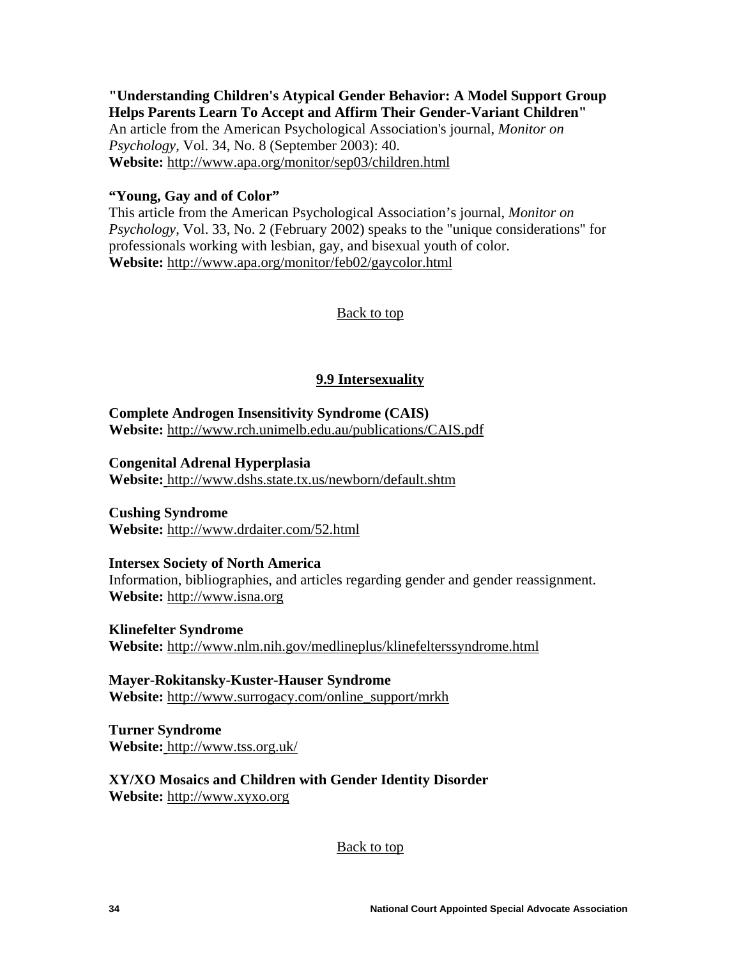## <span id="page-35-0"></span>**"Understanding Children's Atypical Gender Behavior: A Model Support Group Helps Parents Learn To Accept and Affirm Their Gender-Variant Children"**

An article from the American Psychological Association's journal, *Monitor on Psychology,* Vol. 34, No. 8 (September 2003): 40. **Website:** <http://www.apa.org/monitor/sep03/children.html>

## **"Young, Gay and of Color"**

This article from the American Psychological Association's journal, *Monitor on Psychology*, Vol. 33, No. 2 (February 2002) speaks to the "unique considerations" for professionals working with lesbian, gay, and bisexual youth of color. **Website:** <http://www.apa.org/monitor/feb02/gaycolor.html>

[Back to top](#page-1-0)

## **9.9 Intersexuality**

**Complete Androgen Insensitivity Syndrome (CAIS) Website:** <http://www.rch.unimelb.edu.au/publications/CAIS.pdf>

**Congenital Adrenal Hyperplasia** 

**Website:** <http://www.dshs.state.tx.us/newborn/default.shtm>

**Cushing Syndrome Website:** <http://www.drdaiter.com/52.html>

## **Intersex Society of North America**

Information, bibliographies, and articles regarding gender and gender reassignment. **Website:** [http://www.isna.org](http://www.isna.org/)

**Klinefelter Syndrome Website:** <http://www.nlm.nih.gov/medlineplus/klinefelterssyndrome.html>

**Mayer-Rokitansky-Kuster-Hauser Syndrome Website:** [http://www.surrogacy.com/online\\_support/mrkh](http://www.surrogacy.com/online_support/mrkh)

**Turner Syndrome Website:** <http://www.tss.org.uk/>

**XY/XO Mosaics and Children with Gender Identity Disorder Website:** [http://www.xyxo.org](http://www.xyxo.org/)

[Back to top](#page-1-0)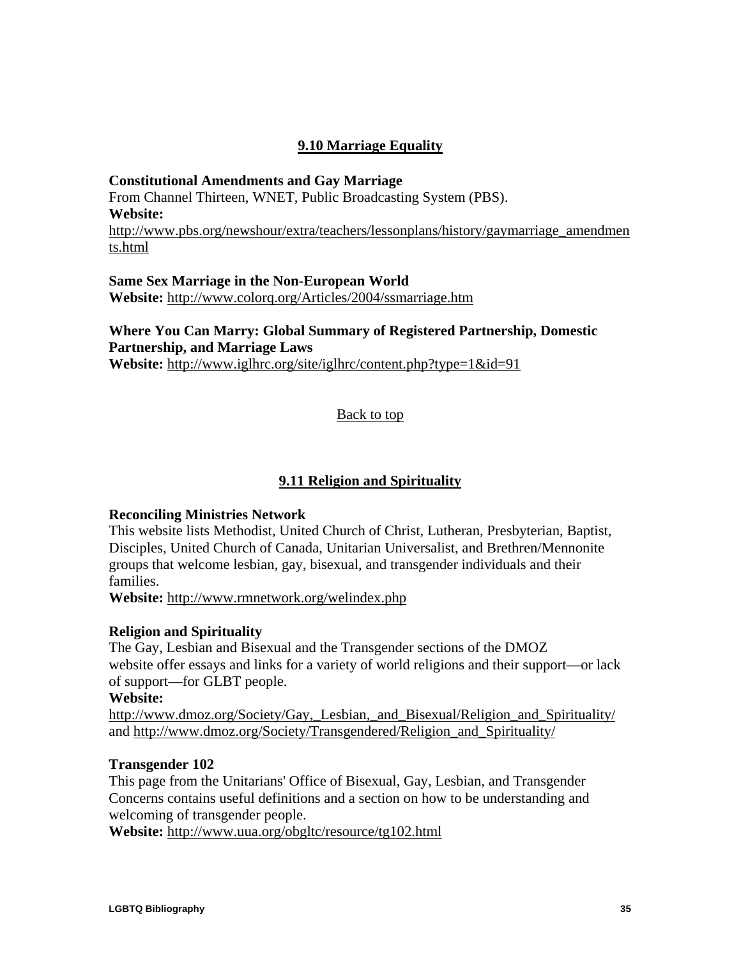## **9.10 Marriage Equality**

<span id="page-36-0"></span>**Constitutional Amendments and Gay Marriage**  From Channel Thirteen, WNET, Public Broadcasting System (PBS). **Website:**  [http://www.pbs.org/newshour/extra/teachers/lessonplans/history/gaymarriage\\_amendmen](http://www.pbs.org/newshour/extra/teachers/lessonplans/history/gaymarriage_amendments.html) [ts.html](http://www.pbs.org/newshour/extra/teachers/lessonplans/history/gaymarriage_amendments.html)

**Same Sex Marriage in the Non-European World Website:** <http://www.colorq.org/Articles/2004/ssmarriage.htm>

## **Where You Can Marry: Global Summary of Registered Partnership, Domestic Partnership, and Marriage Laws**

**Website:** <http://www.iglhrc.org/site/iglhrc/content.php?type=1&id=91>

[Back to top](#page-1-0)

## **9.11 Religion and Spirituality**

## **Reconciling Ministries Network**

This website lists Methodist, United Church of Christ, Lutheran, Presbyterian, Baptist, Disciples, United Church of Canada, Unitarian Universalist, and Brethren/Mennonite groups that welcome lesbian, gay, bisexual, and transgender individuals and their families.

**Website:** <http://www.rmnetwork.org/welindex.php>

## **Religion and Spirituality**

The Gay, Lesbian and Bisexual and the Transgender sections of the DMOZ website offer essays and links for a variety of world religions and their support—or lack of support—for GLBT people.

## **Website:**

http://www.dmoz.org/Society/Gay, Lesbian, and Bisexual/Religion\_and Spirituality/ and [http://www.dmoz.org/Society/Transgendered/Religion\\_and\\_Spirituality/](http://www.dmoz.org/Society/Transgendered/Religion_and_Spirituality/)

## **Transgender 102**

This page from the Unitarians' Office of Bisexual, Gay, Lesbian, and Transgender Concerns contains useful definitions and a section on how to be understanding and welcoming of transgender people.

**Website:** <http://www.uua.org/obgltc/resource/tg102.html>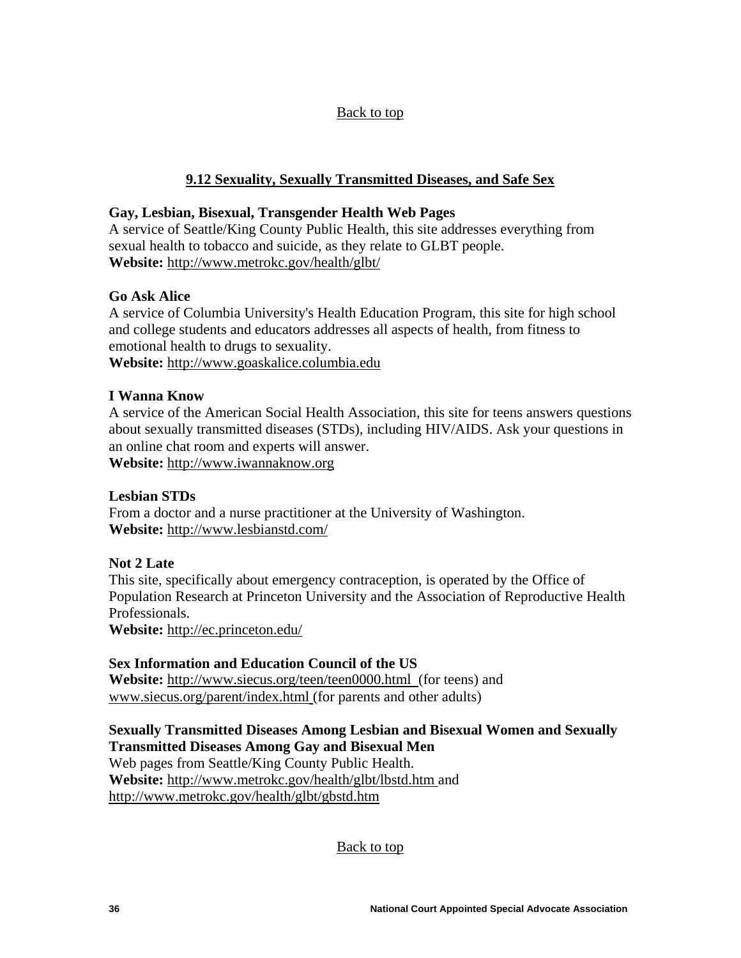## [Back to top](#page-1-0)

## **9.12 Sexuality, Sexually Transmitted Diseases, and Safe Sex**

## **Gay, Lesbian, Bisexual, Transgender Health Web Pages**

A service of Seattle/King County Public Health, this site addresses everything from sexual health to tobacco and suicide, as they relate to GLBT people. **Website:** <http://www.metrokc.gov/health/glbt/>

## **Go Ask Alice**

A service of Columbia University's Health Education Program, this site for high school and college students and educators addresses all aspects of health, from fitness to emotional health to drugs to sexuality. **Website:** [http://www.goaskalice.columbia.edu](http://www.goaskalice.columbia.edu/)

## **I Wanna Know**

A service of the American Social Health Association, this site for teens answers questions about sexually transmitted diseases (STDs), including HIV/AIDS. Ask your questions in an online chat room and experts will answer.

**Website:** [http://www.iwannaknow.org](http://www.iwannaknow.org/)

## **Lesbian STDs**

From a doctor and a nurse practitioner at the University of Washington. **Website:** <http://www.lesbianstd.com/>

## **Not 2 Late**

This site, specifically about emergency contraception, is operated by the Office of Population Research at Princeton University and the Association of Reproductive Health Professionals.

**Website:** <http://ec.princeton.edu/>

## **Sex Information and Education Council of the US**

**Website:** <http://www.siecus.org/teen/teen0000.html>(for teens) and [www.siecus.org/parent/index.html](http://www.siecus.org/parent/index.html) (for parents and other adults)

## **Sexually Transmitted Diseases Among Lesbian and Bisexual Women and Sexually Transmitted Diseases Among Gay and Bisexual Men**

Web pages from Seattle/King County Public Health. **Website:** <http://www.metrokc.gov/health/glbt/lbstd.htm> and <http://www.metrokc.gov/health/glbt/gbstd.htm>

[Back to top](#page-1-0)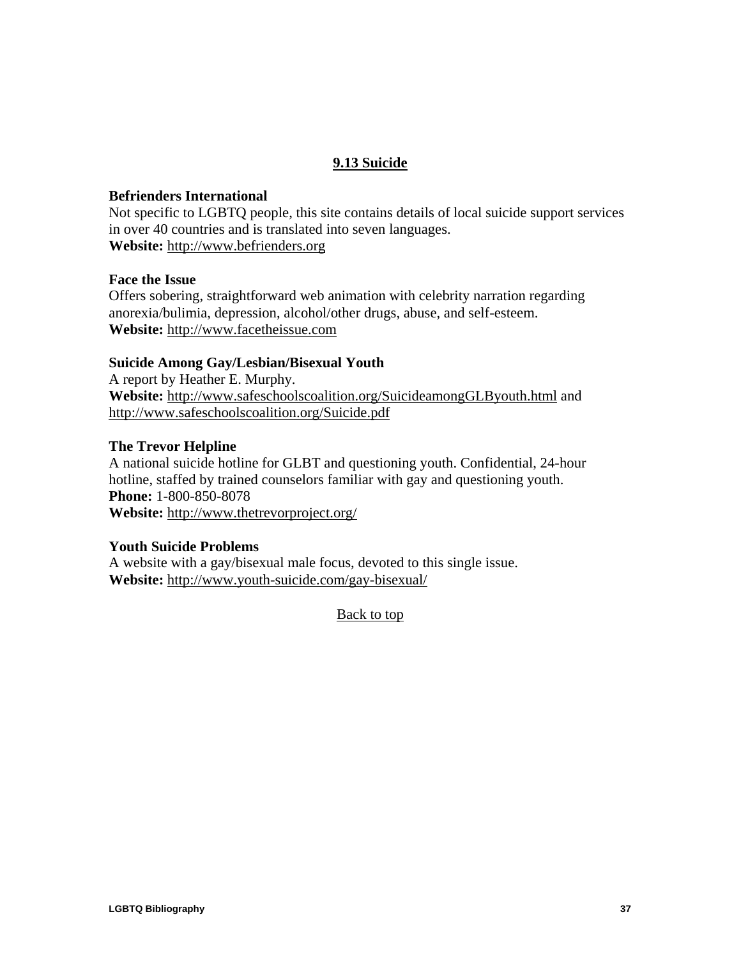## **9.13 Suicide**

#### <span id="page-38-0"></span>**Befrienders International**

Not specific to LGBTQ people, this site contains details of local suicide support services in over 40 countries and is translated into seven languages. **Website:** [http://www.befrienders.org](http://www.befrienders.org/)

#### **Face the Issue**

Offers sobering, straightforward web animation with celebrity narration regarding anorexia/bulimia, depression, alcohol/other drugs, abuse, and self-esteem. **Website:** [http://www.facetheissue.com](http://www.facetheissue.com/)

#### **Suicide Among Gay/Lesbian/Bisexual Youth**

A report by Heather E. Murphy. **Website:** <http://www.safeschoolscoalition.org/SuicideamongGLByouth.html> and <http://www.safeschoolscoalition.org/Suicide.pdf>

#### **The Trevor Helpline**

A national suicide hotline for GLBT and questioning youth. Confidential, 24-hour hotline, staffed by trained counselors familiar with gay and questioning youth. **Phone:** 1-800-850-8078

**Website:** <http://www.thetrevorproject.org/>

#### **Youth Suicide Problems**

A website with a gay/bisexual male focus, devoted to this single issue. **Website:** <http://www.youth-suicide.com/gay-bisexual/>

[Back to top](#page-1-0)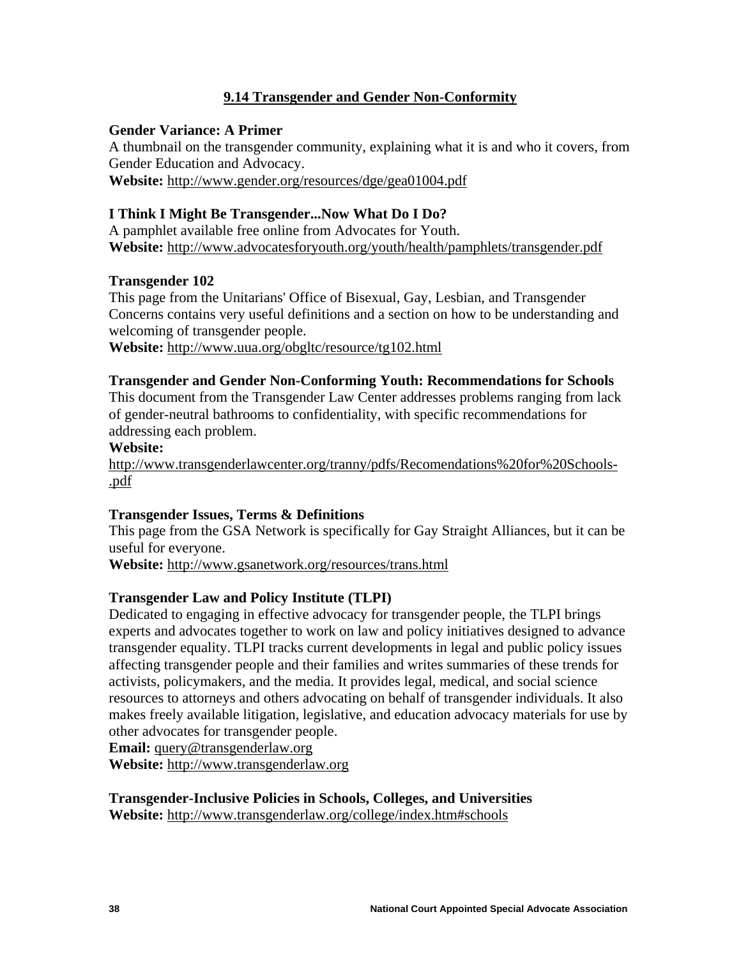## **9.14 Transgender and Gender Non-Conformity**

## <span id="page-39-0"></span>**Gender Variance: A Primer**

A thumbnail on the transgender community, explaining what it is and who it covers, from Gender Education and Advocacy. **Website:** <http://www.gender.org/resources/dge/gea01004.pdf>

## **I Think I Might Be Transgender...Now What Do I Do?**

A pamphlet available free online from Advocates for Youth. **Website:** <http://www.advocatesforyouth.org/youth/health/pamphlets/transgender.pdf>

## **Transgender 102**

This page from the Unitarians' Office of Bisexual, Gay, Lesbian, and Transgender Concerns contains very useful definitions and a section on how to be understanding and welcoming of transgender people.

**Website:** <http://www.uua.org/obgltc/resource/tg102.html>

#### **Transgender and Gender Non-Conforming Youth: Recommendations for Schools**

This document from the Transgender Law Center addresses problems ranging from lack of gender-neutral bathrooms to confidentiality, with specific recommendations for addressing each problem.

## **Website:**

[http://www.transgenderlawcenter.org/tranny/pdfs/Recomendations%20for%20Schools-](http://www.transgenderlawcenter.org/tranny/pdfs/Recomendations%20for%20Schools.pdf) [.pdf](http://www.transgenderlawcenter.org/tranny/pdfs/Recomendations%20for%20Schools.pdf)

## **Transgender Issues, Terms & Definitions**

This page from the GSA Network is specifically for Gay Straight Alliances, but it can be useful for everyone.

**Website:** <http://www.gsanetwork.org/resources/trans.html>

## **Transgender Law and Policy Institute (TLPI)**

Dedicated to engaging in effective advocacy for transgender people, the TLPI brings experts and advocates together to work on law and policy initiatives designed to advance transgender equality. TLPI tracks current developments in legal and public policy issues affecting transgender people and their families and writes summaries of these trends for activists, policymakers, and the media. It provides legal, medical, and social science resources to attorneys and others advocating on behalf of transgender individuals. It also makes freely available litigation, legislative, and education advocacy materials for use by other advocates for transgender people.

**Email:** [query@transgenderlaw.org](mailto:query@transgenderlaw.org) **Website:** [http://www.transgenderlaw.org](http://www.transgenderlaw.org/)

**Transgender-Inclusive Policies in Schools, Colleges, and Universities Website:** <http://www.transgenderlaw.org/college/index.htm#schools>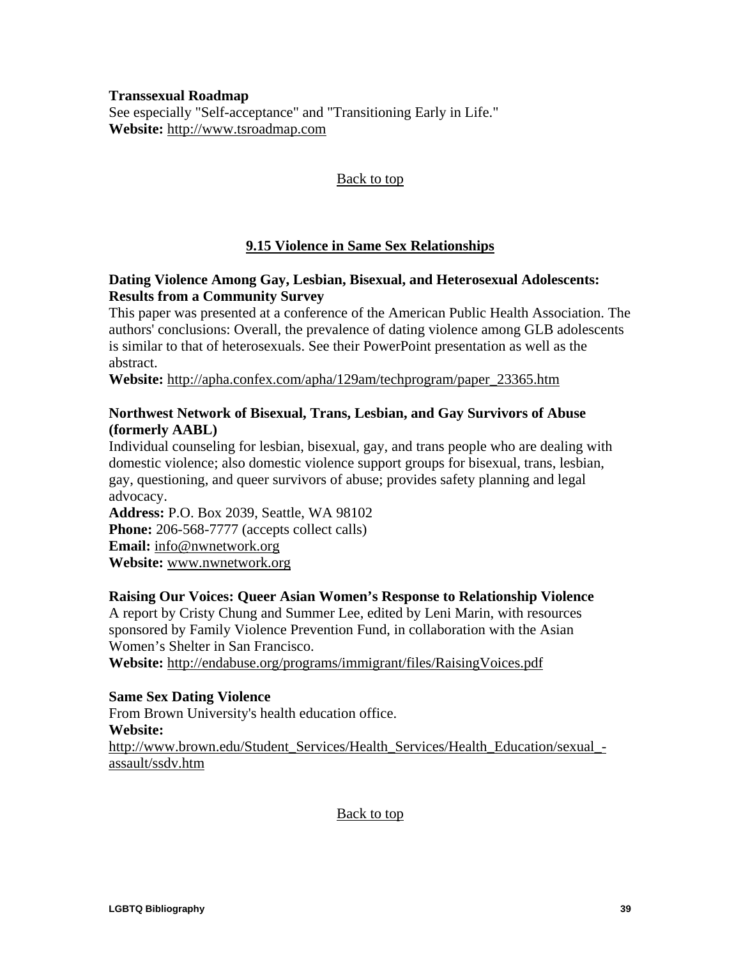<span id="page-40-0"></span>**Transsexual Roadmap** 

See especially "Self-acceptance" and "Transitioning Early in Life." **Website:** [http://www.tsroadmap.com](http://www.tsroadmap.com/)

## [Back to top](#page-1-0)

## **9.15 Violence in Same Sex Relationships**

## **Dating Violence Among Gay, Lesbian, Bisexual, and Heterosexual Adolescents: Results from a Community Survey**

This paper was presented at a conference of the American Public Health Association. The authors' conclusions: Overall, the prevalence of dating violence among GLB adolescents is similar to that of heterosexuals. See their PowerPoint presentation as well as the abstract.

**Website:** [http://apha.confex.com/apha/129am/techprogram/paper\\_23365.htm](http://apha.confex.com/apha/129am/techprogram/paper_23365.htm)

## **Northwest Network of Bisexual, Trans, Lesbian, and Gay Survivors of Abuse (formerly AABL)**

Individual counseling for lesbian, bisexual, gay, and trans people who are dealing with domestic violence; also domestic violence support groups for bisexual, trans, lesbian, gay, questioning, and queer survivors of abuse; provides safety planning and legal advocacy.

**Address:** P.O. Box 2039, Seattle, WA 98102 **Phone:** 206-568-7777 (accepts collect calls) **Email:** [info@nwnetwork.org](mailto:info@nwnetwork.org) **Website:** [www.nwnetwork.org](http://www.nwnetwork.org/)

## **Raising Our Voices: Queer Asian Women's Response to Relationship Violence**

A report by Cristy Chung and Summer Lee, edited by Leni Marin, with resources sponsored by Family Violence Prevention Fund, in collaboration with the Asian Women's Shelter in San Francisco.

**Website:** <http://endabuse.org/programs/immigrant/files/RaisingVoices.pdf>

## **Same Sex Dating Violence**

From Brown University's health education office. **Website:**  [http://www.brown.edu/Student\\_Services/Health\\_Services/Health\\_Education/sexual\\_](http://www.brown.edu/Student_Services/Health_Services/Health_Education/sexual_assault/ssdv.htm) [assault/ssdv.htm](http://www.brown.edu/Student_Services/Health_Services/Health_Education/sexual_assault/ssdv.htm)

[Back to top](#page-1-0)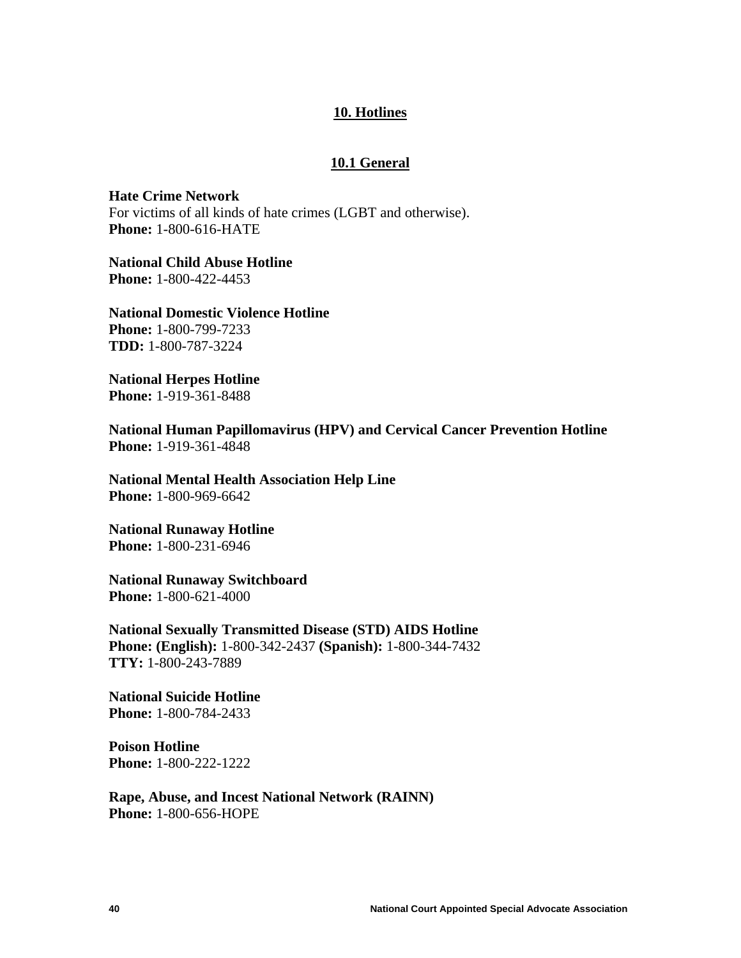#### **10. Hotlines**

#### **10.1 General**

<span id="page-41-0"></span>**Hate Crime Network**  For victims of all kinds of hate crimes (LGBT and otherwise). **Phone:** 1-800-616-HATE

**National Child Abuse Hotline Phone:** 1-800-422-4453

**National Domestic Violence Hotline Phone:** 1-800-799-7233 **TDD:** 1-800-787-3224

**National Herpes Hotline Phone:** 1-919-361-8488

**National Human Papillomavirus (HPV) and Cervical Cancer Prevention Hotline Phone:** 1-919-361-4848

**National Mental Health Association Help Line Phone:** 1-800-969-6642

**National Runaway Hotline Phone:** 1-800-231-6946

**National Runaway Switchboard Phone:** 1-800-621-4000

**National Sexually Transmitted Disease (STD) AIDS Hotline Phone: (English):** 1-800-342-2437 **(Spanish):** 1-800-344-7432 **TTY:** 1-800-243-7889

**National Suicide Hotline Phone:** 1-800-784-2433

**Poison Hotline Phone:** 1-800-222-1222

**Rape, Abuse, and Incest National Network (RAINN) Phone:** 1-800-656-HOPE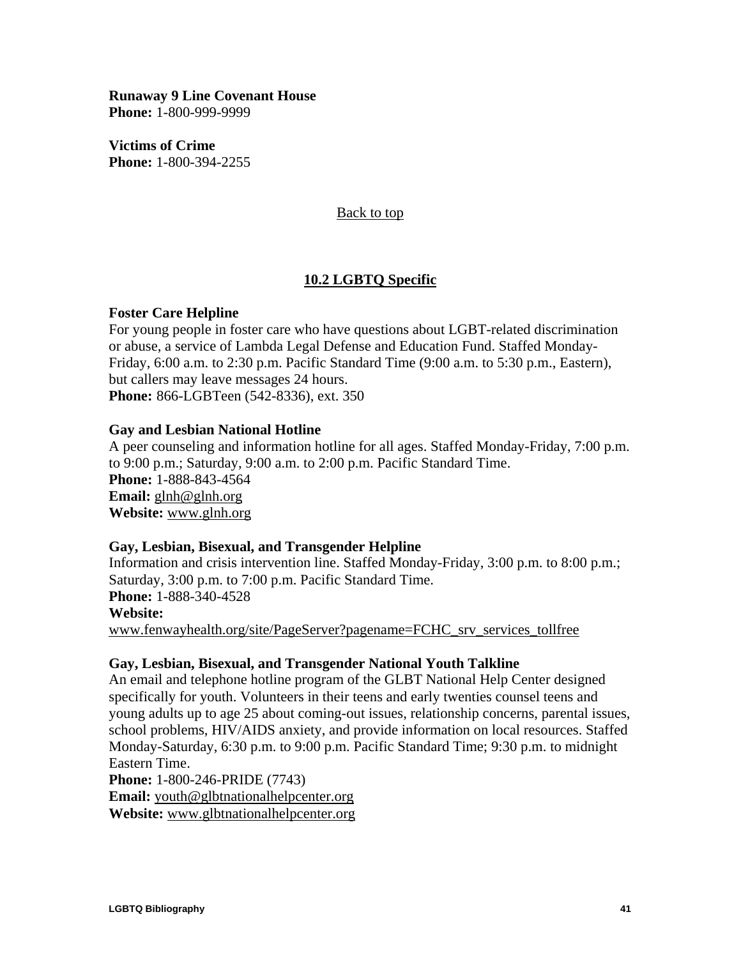<span id="page-42-0"></span>**Runaway 9 Line Covenant House Phone:** 1-800-999-9999

**Victims of Crime Phone:** 1-800-394-2255

#### [Back to top](#page-1-0)

## **10.2 LGBTQ Specific**

#### **Foster Care Helpline**

For young people in foster care who have questions about LGBT-related discrimination or abuse, a service of Lambda Legal Defense and Education Fund. Staffed Monday-Friday, 6:00 a.m. to 2:30 p.m. Pacific Standard Time (9:00 a.m. to 5:30 p.m., Eastern), but callers may leave messages 24 hours. **Phone:** 866-LGBTeen (542-8336), ext. 350

#### **Gay and Lesbian National Hotline**

A peer counseling and information hotline for all ages. Staffed Monday-Friday, 7:00 p.m. to 9:00 p.m.; Saturday, 9:00 a.m. to 2:00 p.m. Pacific Standard Time. **Phone:** 1-888-843-4564 **Email:** [glnh@glnh.org](mailto:glnh@glnh.org) **Website:** [www.glnh.org](http://www.glnh.org)

#### **Gay, Lesbian, Bisexual, and Transgender Helpline**

Information and crisis intervention line. Staffed Monday-Friday, 3:00 p.m. to 8:00 p.m.; Saturday, 3:00 p.m. to 7:00 p.m. Pacific Standard Time. **Phone:** 1-888-340-4528 **Website:** [www.fenwayhealth.org/site/PageServer?pagename=FCHC\\_srv\\_services\\_tollfree](http://www.fenwayhealth.org/site/PageServer?pagename=FCHC_srv_services_tollfree)

#### **Gay, Lesbian, Bisexual, and Transgender National Youth Talkline**

An email and telephone hotline program of the GLBT National Help Center designed specifically for youth. Volunteers in their teens and early twenties counsel teens and young adults up to age 25 about coming-out issues, relationship concerns, parental issues, school problems, HIV/AIDS anxiety, and provide information on local resources. Staffed Monday-Saturday, 6:30 p.m. to 9:00 p.m. Pacific Standard Time; 9:30 p.m. to midnight Eastern Time.

**Phone:** 1-800-246-PRIDE (7743)

**Email:** [youth@glbtnationalhelpcenter.org](mailto:youth@glbtnationalhelpcenter.org)

**Website:** [www.glbtnationalhelpcenter.org](http://www.glbtnationalhelpcenter.org/)